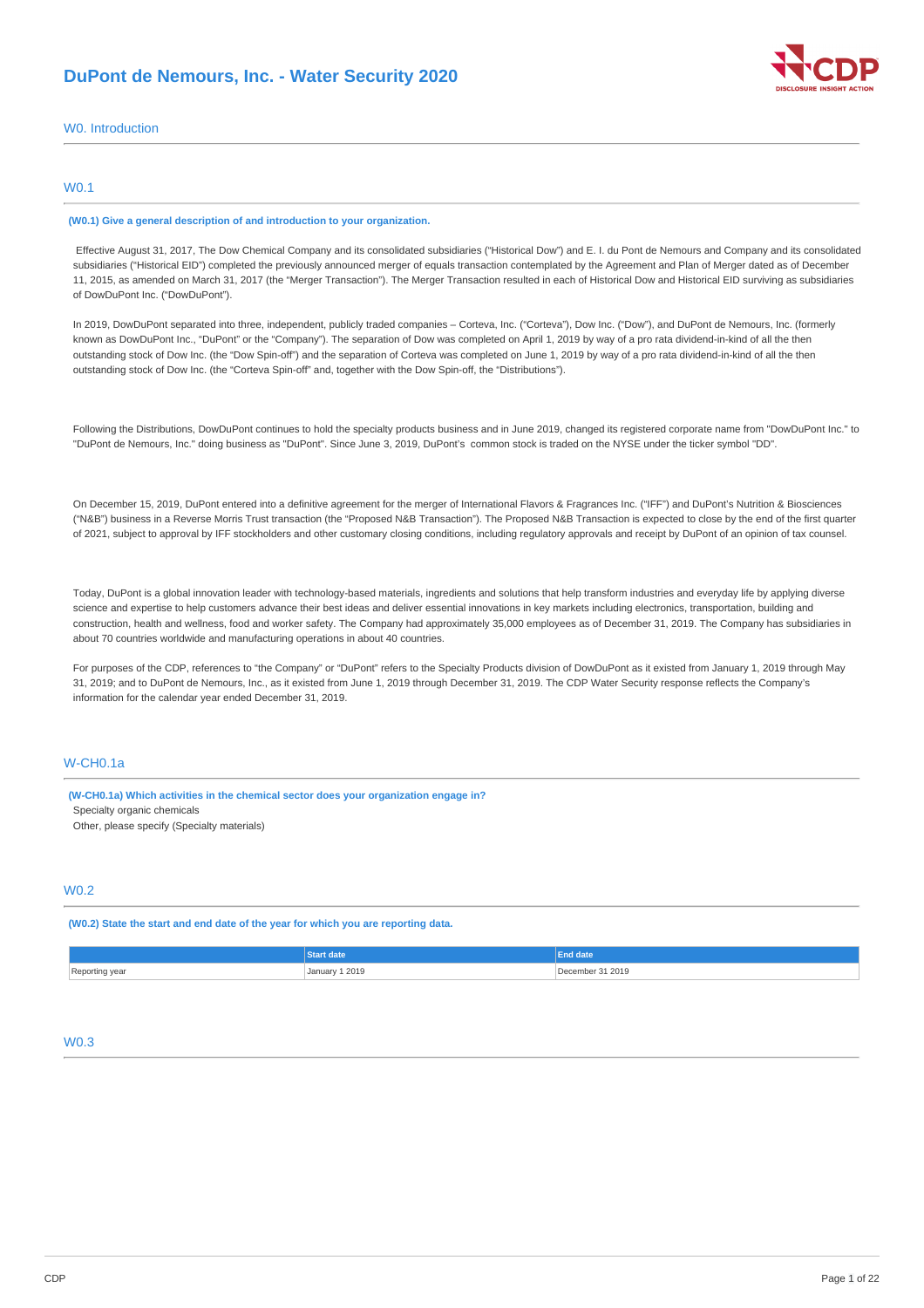

## W0. Introduction

## W0.1

#### **(W0.1) Give a general description of and introduction to your organization.**

Effective August 31, 2017, The Dow Chemical Company and its consolidated subsidiaries ("Historical Dow") and E. I. du Pont de Nemours and Company and its consolidated subsidiaries ("Historical EID") completed the previously announced merger of equals transaction contemplated by the Agreement and Plan of Merger dated as of December 11, 2015, as amended on March 31, 2017 (the "Merger Transaction"). The Merger Transaction resulted in each of Historical Dow and Historical EID surviving as subsidiaries of DowDuPont Inc. ("DowDuPont").

In 2019, DowDuPont separated into three, independent, publicly traded companies – Corteva, Inc. ("Corteva"), Dow Inc. ("Dow"), and DuPont de Nemours, Inc. (formerly known as DowDuPont Inc., "DuPont" or the "Company"). The separation of Dow was completed on April 1, 2019 by way of a pro rata dividend-in-kind of all the then outstanding stock of Dow Inc. (the "Dow Spin-off") and the separation of Corteva was completed on June 1, 2019 by way of a pro rata dividend-in-kind of all the then outstanding stock of Dow Inc. (the "Corteva Spin-off" and, together with the Dow Spin-off, the "Distributions").

Following the Distributions, DowDuPont continues to hold the specialty products business and in June 2019, changed its registered corporate name from "DowDuPont Inc." to "DuPont de Nemours, Inc." doing business as "DuPont". Since June 3, 2019, DuPont's common stock is traded on the NYSE under the ticker symbol "DD".

On December 15, 2019, DuPont entered into a definitive agreement for the merger of International Flavors & Fragrances Inc. ("IFF") and DuPont's Nutrition & Biosciences ("N&B") business in a Reverse Morris Trust transaction (the "Proposed N&B Transaction"). The Proposed N&B Transaction is expected to close by the end of the first quarter of 2021, subject to approval by IFF stockholders and other customary closing conditions, including regulatory approvals and receipt by DuPont of an opinion of tax counsel.

Today, DuPont is a global innovation leader with technology-based materials, ingredients and solutions that help transform industries and everyday life by applying diverse science and expertise to help customers advance their best ideas and deliver essential innovations in key markets including electronics, transportation, building and construction, health and wellness, food and worker safety. The Company had approximately 35,000 employees as of December 31, 2019. The Company has subsidiaries in about 70 countries worldwide and manufacturing operations in about 40 countries.

For purposes of the CDP, references to "the Company" or "DuPont" refers to the Specialty Products division of DowDuPont as it existed from January 1, 2019 through May 31, 2019; and to DuPont de Nemours, Inc., as it existed from June 1, 2019 through December 31, 2019. The CDP Water Security response reflects the Company's information for the calendar year ended December 31, 2019.

## W-CH0.1a

**(W-CH0.1a) Which activities in the chemical sector does your organization engage in?** Specialty organic chemicals Other, please specify (Specialty materials)

# W0.2

**(W0.2) State the start and end date of the year for which you are reporting data.**

|                | ma                  |                  |
|----------------|---------------------|------------------|
| Reporting year | January 1 2019<br>. | 1 2019<br>.ember |

## W0.3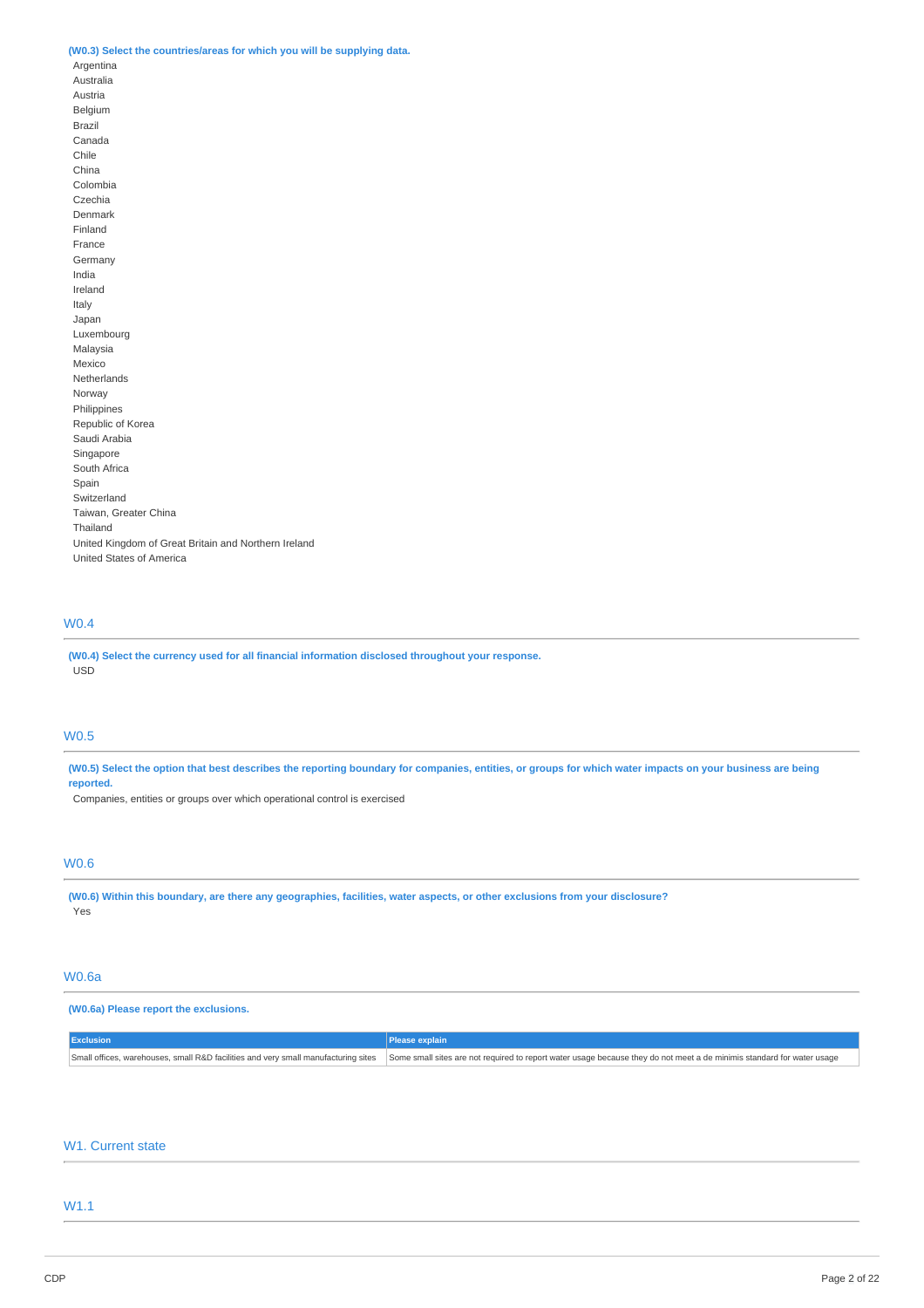## **(W0.3) Select the countries/areas for which you will be supplying data.**

Argentina Australia Austria Belgium Brazil Canada Chile China Colombia Czechia Denmark Finland France Germany India Ireland Italy Japan Luxembourg Malaysia Mexico Netherlands Norway Philippines Republic of Korea Saudi Arabia Singapore South Africa Spain Switzerland Taiwan, Greater China Thailand United Kingdom of Great Britain and Northern Ireland United States of America

# W0.4

**(W0.4) Select the currency used for all financial information disclosed throughout your response.** USD

## W0.5

(W0.5) Select the option that best describes the reporting boundary for companies, entities, or groups for which water impacts on your business are being **reported.**

Companies, entities or groups over which operational control is exercised

# W0.6

(W0.6) Within this boundary, are there any geographies, facilities, water aspects, or other exclusions from your disclosure? **Yes** 

## W0.6a

## **(W0.6a) Please report the exclusions.**

| <b>Exclusion</b> |                                                                                                                                                                                                           |
|------------------|-----------------------------------------------------------------------------------------------------------------------------------------------------------------------------------------------------------|
|                  | Small offices, warehouses, small R&D facilities and very small manufacturing sites Some small sites are not required to report water usage because they do not meet a de minimis standard for water usage |

## W1. Current state

# W1.1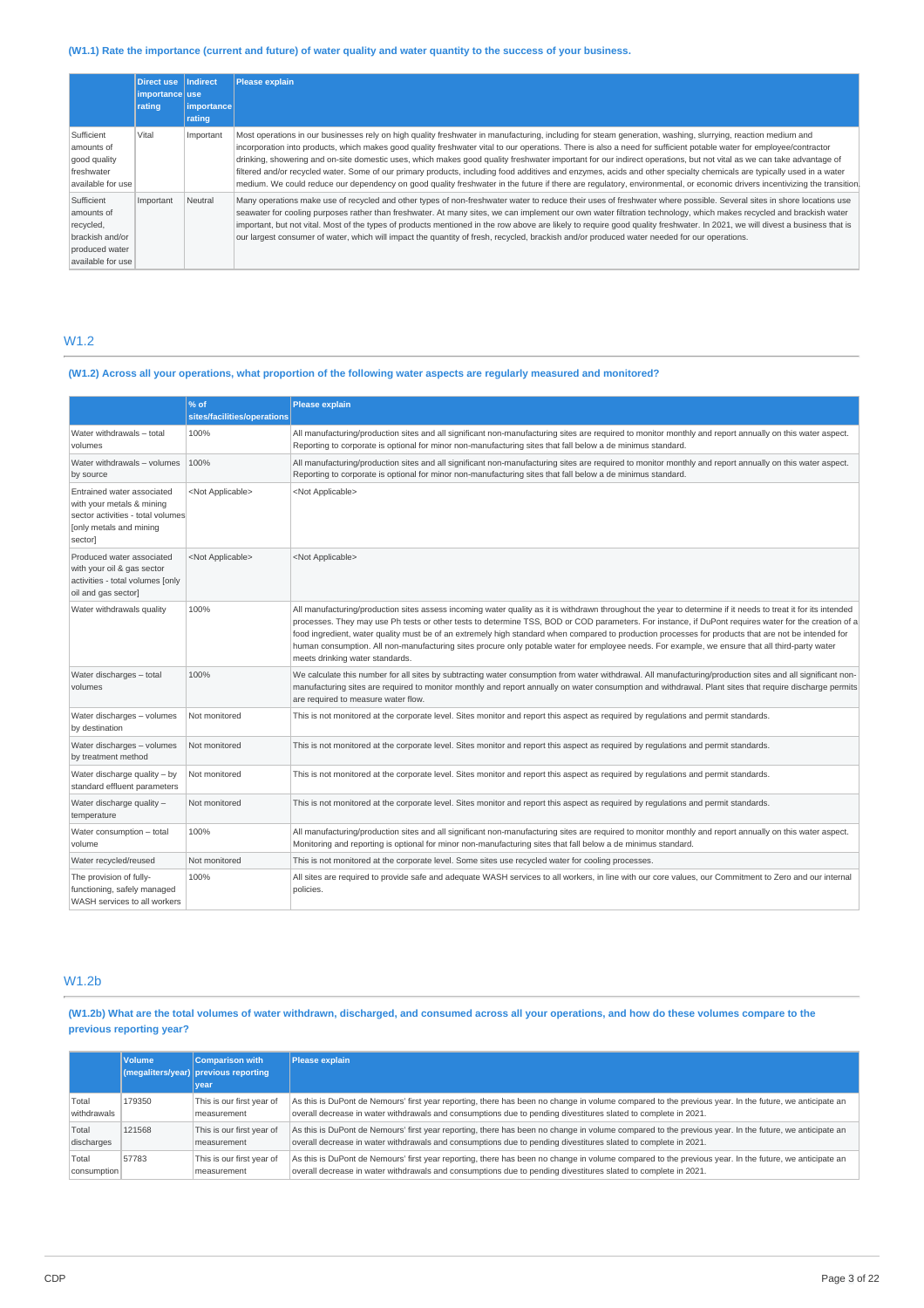## (W1.1) Rate the importance (current and future) of water quality and water quantity to the success of your business.

|                                                                                                 | Direct use<br>importance use<br>rating | Indirect<br>importance | Please explain                                                                                                                                                                                                                                                                                                                                                                                                                                                                                                                                                                                                                                                                                                                                                                                                                                                  |
|-------------------------------------------------------------------------------------------------|----------------------------------------|------------------------|-----------------------------------------------------------------------------------------------------------------------------------------------------------------------------------------------------------------------------------------------------------------------------------------------------------------------------------------------------------------------------------------------------------------------------------------------------------------------------------------------------------------------------------------------------------------------------------------------------------------------------------------------------------------------------------------------------------------------------------------------------------------------------------------------------------------------------------------------------------------|
|                                                                                                 |                                        | rating                 |                                                                                                                                                                                                                                                                                                                                                                                                                                                                                                                                                                                                                                                                                                                                                                                                                                                                 |
| Sufficient<br>amounts of<br>good quality<br>freshwater<br>available for use                     | Vital                                  | Important              | Most operations in our businesses rely on high quality freshwater in manufacturing, including for steam generation, washing, slurrying, reaction medium and<br>incorporation into products, which makes good quality freshwater vital to our operations. There is also a need for sufficient potable water for employee/contractor<br>drinking, showering and on-site domestic uses, which makes good quality freshwater important for our indirect operations, but not vital as we can take advantage of<br>filtered and/or recycled water. Some of our primary products, including food additives and enzymes, acids and other specialty chemicals are typically used in a water<br>medium. We could reduce our dependency on good quality freshwater in the future if there are regulatory, environmental, or economic drivers incentivizing the transition. |
| Sufficient<br>amounts of<br>recycled,<br>brackish and/or<br>produced water<br>available for use | Important                              | Neutral                | Many operations make use of recycled and other types of non-freshwater water to reduce their uses of freshwater where possible. Several sites in shore locations use<br>seawater for cooling purposes rather than freshwater. At many sites, we can implement our own water filtration technology, which makes recycled and brackish water<br>important, but not vital. Most of the types of products mentioned in the row above are likely to require good quality freshwater. In 2021, we will divest a business that is<br>our largest consumer of water, which will impact the quantity of fresh, recycled, brackish and/or produced water needed for our operations.                                                                                                                                                                                       |

## W1.2

## (W1.2) Across all your operations, what proportion of the following water aspects are regularly measured and monitored?

|                                                                                                                                    | % of<br>sites/facilities/operations | Please explain                                                                                                                                                                                                                                                                                                                                                                                                                                                                                                                                                                                                                                                       |
|------------------------------------------------------------------------------------------------------------------------------------|-------------------------------------|----------------------------------------------------------------------------------------------------------------------------------------------------------------------------------------------------------------------------------------------------------------------------------------------------------------------------------------------------------------------------------------------------------------------------------------------------------------------------------------------------------------------------------------------------------------------------------------------------------------------------------------------------------------------|
| Water withdrawals - total<br>volumes                                                                                               | 100%                                | All manufacturing/production sites and all significant non-manufacturing sites are required to monitor monthly and report annually on this water aspect.<br>Reporting to corporate is optional for minor non-manufacturing sites that fall below a de minimus standard.                                                                                                                                                                                                                                                                                                                                                                                              |
| Water withdrawals - volumes<br>by source                                                                                           | 100%                                | All manufacturing/production sites and all significant non-manufacturing sites are required to monitor monthly and report annually on this water aspect.<br>Reporting to corporate is optional for minor non-manufacturing sites that fall below a de minimus standard.                                                                                                                                                                                                                                                                                                                                                                                              |
| Entrained water associated<br>with your metals & mining<br>sector activities - total volumes<br>[only metals and mining<br>sector] | <not applicable=""></not>           | <not applicable=""></not>                                                                                                                                                                                                                                                                                                                                                                                                                                                                                                                                                                                                                                            |
| Produced water associated<br>with your oil & gas sector<br>activities - total volumes [only<br>oil and gas sector]                 | <not applicable=""></not>           | <not applicable=""></not>                                                                                                                                                                                                                                                                                                                                                                                                                                                                                                                                                                                                                                            |
| Water withdrawals quality                                                                                                          | 100%                                | All manufacturing/production sites assess incoming water quality as it is withdrawn throughout the year to determine if it needs to treat it for its intended<br>processes. They may use Ph tests or other tests to determine TSS, BOD or COD parameters. For instance, if DuPont requires water for the creation of a<br>food ingredient, water quality must be of an extremely high standard when compared to production processes for products that are not be intended for<br>human consumption. All non-manufacturing sites procure only potable water for employee needs. For example, we ensure that all third-party water<br>meets drinking water standards. |
| Water discharges - total<br>volumes                                                                                                | 100%                                | We calculate this number for all sites by subtracting water consumption from water withdrawal. All manufacturing/production sites and all significant non-<br>manufacturing sites are required to monitor monthly and report annually on water consumption and withdrawal. Plant sites that require discharge permits<br>are required to measure water flow.                                                                                                                                                                                                                                                                                                         |
| Water discharges - volumes<br>by destination                                                                                       | Not monitored                       | This is not monitored at the corporate level. Sites monitor and report this aspect as required by requlations and permit standards.                                                                                                                                                                                                                                                                                                                                                                                                                                                                                                                                  |
| Water discharges - volumes<br>by treatment method                                                                                  | Not monitored                       | This is not monitored at the corporate level. Sites monitor and report this aspect as required by requlations and permit standards.                                                                                                                                                                                                                                                                                                                                                                                                                                                                                                                                  |
| Water discharge quality - by<br>standard effluent parameters                                                                       | Not monitored                       | This is not monitored at the corporate level. Sites monitor and report this aspect as required by requlations and permit standards.                                                                                                                                                                                                                                                                                                                                                                                                                                                                                                                                  |
| Water discharge quality -<br>temperature                                                                                           | Not monitored                       | This is not monitored at the corporate level. Sites monitor and report this aspect as required by requlations and permit standards.                                                                                                                                                                                                                                                                                                                                                                                                                                                                                                                                  |
| Water consumption - total<br>volume                                                                                                | 100%                                | All manufacturing/production sites and all significant non-manufacturing sites are required to monitor monthly and report annually on this water aspect.<br>Monitoring and reporting is optional for minor non-manufacturing sites that fall below a de minimus standard.                                                                                                                                                                                                                                                                                                                                                                                            |
| Water recycled/reused                                                                                                              | Not monitored                       | This is not monitored at the corporate level. Some sites use recycled water for cooling processes.                                                                                                                                                                                                                                                                                                                                                                                                                                                                                                                                                                   |
| The provision of fully-<br>functioning, safely managed<br>WASH services to all workers                                             | 100%                                | All sites are required to provide safe and adequate WASH services to all workers, in line with our core values, our Commitment to Zero and our internal<br>policies.                                                                                                                                                                                                                                                                                                                                                                                                                                                                                                 |

## W1.2b

(W1.2b) What are the total volumes of water withdrawn, discharged, and consumed across all your operations, and how do these volumes compare to the **previous reporting year?**

|             | <b>Volume</b> | <b>Comparison with</b><br>$($ megaliters/year) previous reporting<br>vear | <b>Please explain</b>                                                                                                                                 |
|-------------|---------------|---------------------------------------------------------------------------|-------------------------------------------------------------------------------------------------------------------------------------------------------|
| Total       | 179350        | This is our first year of                                                 | As this is DuPont de Nemours' first year reporting, there has been no change in volume compared to the previous year. In the future, we anticipate an |
| withdrawals |               | measurement                                                               | overall decrease in water withdrawals and consumptions due to pending divestitures slated to complete in 2021.                                        |
| Total       | 121568        | This is our first year of                                                 | As this is DuPont de Nemours' first year reporting, there has been no change in volume compared to the previous year. In the future, we anticipate an |
| discharges  |               | measurement                                                               | overall decrease in water withdrawals and consumptions due to pending divestitures slated to complete in 2021.                                        |
| Total       | 57783         | This is our first year of                                                 | As this is DuPont de Nemours' first year reporting, there has been no change in volume compared to the previous year. In the future, we anticipate an |
| consumption |               | measurement                                                               | overall decrease in water withdrawals and consumptions due to pending divestitures slated to complete in 2021.                                        |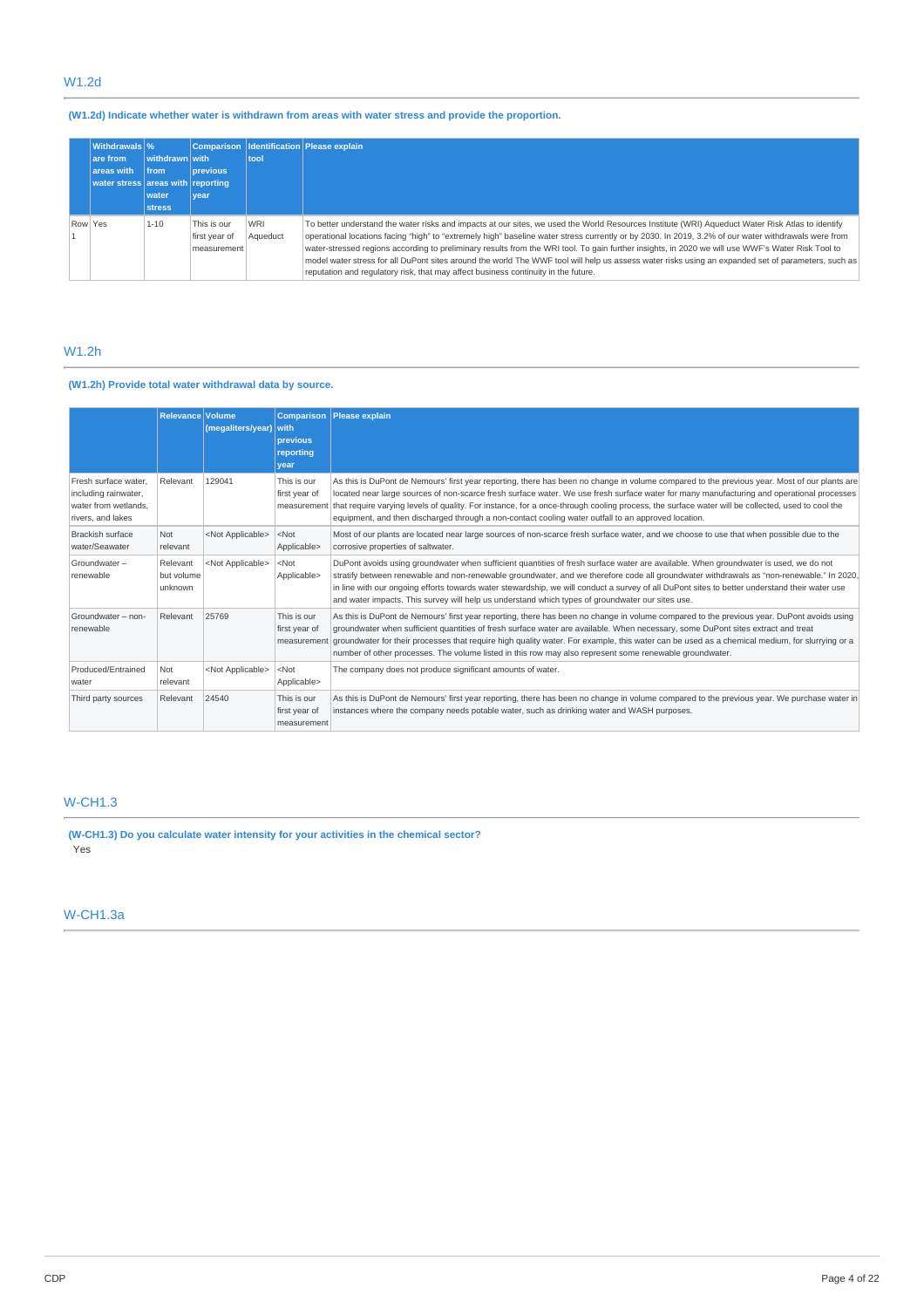# W1.2d

# **(W1.2d) Indicate whether water is withdrawn from areas with water stress and provide the proportion.**

|         | <b>Withdrawals</b> %              |                |                                             |                        | Comparison   Identification   Please explain                                                                                                                                                                                                                                                                                                                                                                                                                                                                                                                                                                                                                                                              |
|---------|-----------------------------------|----------------|---------------------------------------------|------------------------|-----------------------------------------------------------------------------------------------------------------------------------------------------------------------------------------------------------------------------------------------------------------------------------------------------------------------------------------------------------------------------------------------------------------------------------------------------------------------------------------------------------------------------------------------------------------------------------------------------------------------------------------------------------------------------------------------------------|
|         | are from                          | withdrawn with |                                             | tool                   |                                                                                                                                                                                                                                                                                                                                                                                                                                                                                                                                                                                                                                                                                                           |
|         | areas with                        | <b>from</b>    | <b>previous</b>                             |                        |                                                                                                                                                                                                                                                                                                                                                                                                                                                                                                                                                                                                                                                                                                           |
|         | water stress areas with reporting |                |                                             |                        |                                                                                                                                                                                                                                                                                                                                                                                                                                                                                                                                                                                                                                                                                                           |
|         |                                   | water          | <b>vear</b>                                 |                        |                                                                                                                                                                                                                                                                                                                                                                                                                                                                                                                                                                                                                                                                                                           |
|         |                                   | <b>stress</b>  |                                             |                        |                                                                                                                                                                                                                                                                                                                                                                                                                                                                                                                                                                                                                                                                                                           |
| Row Yes |                                   | $1 - 10$       | This is our<br>first year of<br>measurement | <b>WRI</b><br>Aqueduct | To better understand the water risks and impacts at our sites, we used the World Resources Institute (WRI) Aqueduct Water Risk Atlas to identify<br>operational locations facing "high" to "extremely high" baseline water stress currently or by 2030. In 2019, 3.2% of our water withdrawals were from<br>water-stressed regions according to preliminary results from the WRI tool. To gain further insights, in 2020 we will use WWF's Water Risk Tool to<br>model water stress for all DuPont sites around the world The WWF tool will help us assess water risks using an expanded set of parameters, such as<br>reputation and requlatory risk, that may affect business continuity in the future. |

# W1.2h

## **(W1.2h) Provide total water withdrawal data by source.**

|                                                                                           | <b>Relevance Volume</b>           | (megaliters/year)         | <b>Comparison</b><br><b>I</b> with<br>previous<br>reporting<br>vear | <b>Please</b> explain                                                                                                                                                                                                                                                                                                                                                                                                                                                                                                                                           |
|-------------------------------------------------------------------------------------------|-----------------------------------|---------------------------|---------------------------------------------------------------------|-----------------------------------------------------------------------------------------------------------------------------------------------------------------------------------------------------------------------------------------------------------------------------------------------------------------------------------------------------------------------------------------------------------------------------------------------------------------------------------------------------------------------------------------------------------------|
| Fresh surface water.<br>including rainwater,<br>water from wetlands.<br>rivers, and lakes | Relevant                          | 129041                    | This is our<br>first year of                                        | As this is DuPont de Nemours' first year reporting, there has been no change in volume compared to the previous year. Most of our plants are<br>located near large sources of non-scarce fresh surface water. We use fresh surface water for many manufacturing and operational processes<br>measurement that require varying levels of quality. For instance, for a once-through cooling process, the surface water will be collected, used to cool the<br>equipment, and then discharged through a non-contact cooling water outfall to an approved location. |
| <b>Brackish surface</b><br>water/Seawater                                                 | Not<br>relevant                   | <not applicable=""></not> | $<$ Not<br>Applicable>                                              | Most of our plants are located near large sources of non-scarce fresh surface water, and we choose to use that when possible due to the<br>corrosive properties of saltwater.                                                                                                                                                                                                                                                                                                                                                                                   |
| Groundwater-<br>renewable                                                                 | Relevant<br>but volume<br>unknown | <not applicable=""></not> | $<$ Not<br>Applicable>                                              | DuPont avoids using groundwater when sufficient quantities of fresh surface water are available. When groundwater is used, we do not<br>stratify between renewable and non-renewable groundwater, and we therefore code all groundwater withdrawals as "non-renewable." In 2020,<br>in line with our ongoing efforts towards water stewardship, we will conduct a survey of all DuPont sites to better understand their water use<br>and water impacts. This survey will help us understand which types of groundwater our sites use.                           |
| Groundwater - non-<br>renewable                                                           | Relevant                          | 25769                     | This is our<br>first year of<br>measurement                         | As this is DuPont de Nemours' first year reporting, there has been no change in volume compared to the previous year. DuPont avoids using<br>groundwater when sufficient quantities of fresh surface water are available. When necessary, some DuPont sites extract and treat<br>groundwater for their processes that require high quality water. For example, this water can be used as a chemical medium, for slurrying or a<br>number of other processes. The volume listed in this row may also represent some renewable groundwater.                       |
| Produced/Entrained<br>water                                                               | <b>Not</b><br>relevant            | <not applicable=""></not> | $<$ Not<br>Applicable>                                              | The company does not produce significant amounts of water.                                                                                                                                                                                                                                                                                                                                                                                                                                                                                                      |
| Third party sources                                                                       | Relevant                          | 24540                     | This is our<br>first year of<br>measurement                         | As this is DuPont de Nemours' first year reporting, there has been no change in volume compared to the previous year. We purchase water in<br>instances where the company needs potable water, such as drinking water and WASH purposes.                                                                                                                                                                                                                                                                                                                        |

# W-CH1.3

**(W-CH1.3) Do you calculate water intensity for your activities in the chemical sector?** Yes

# W-CH1.3a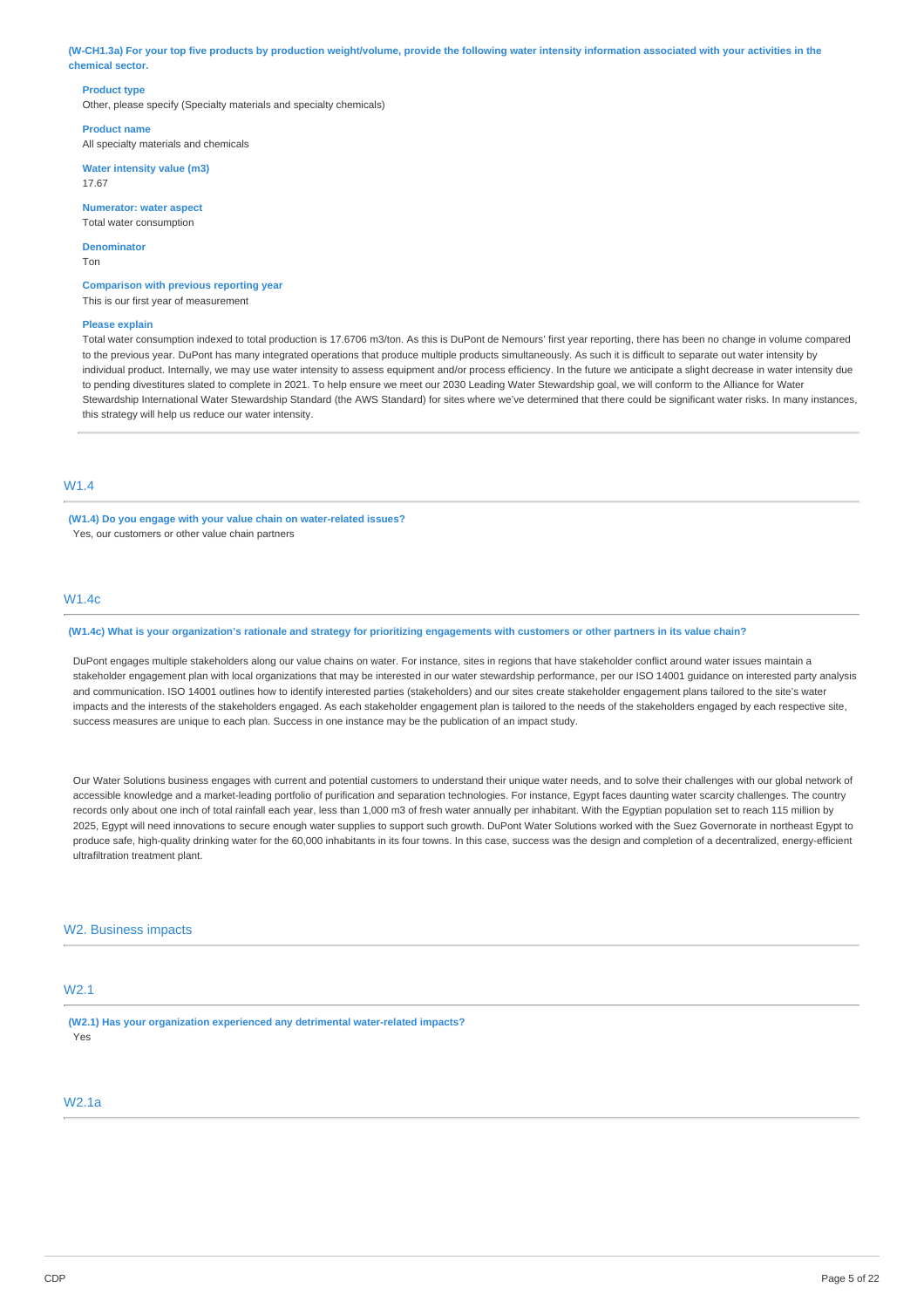(W-CH1.3a) For your top five products by production weight/volume, provide the following water intensity information associated with your activities in the **chemical sector.**

### **Product type**

Other, please specify (Specialty materials and specialty chemicals)

**Product name** All specialty materials and chemicals

**Water intensity value (m3)** 17.67

**Numerator: water aspect** Total water consumption

**Denominator** Ton

**Comparison with previous reporting year** This is our first year of measurement

#### **Please explain**

Total water consumption indexed to total production is 17.6706 m3/ton. As this is DuPont de Nemours' first year reporting, there has been no change in volume compared to the previous year. DuPont has many integrated operations that produce multiple products simultaneously. As such it is difficult to separate out water intensity by individual product. Internally, we may use water intensity to assess equipment and/or process efficiency. In the future we anticipate a slight decrease in water intensity due to pending divestitures slated to complete in 2021. To help ensure we meet our 2030 Leading Water Stewardship goal, we will conform to the Alliance for Water Stewardship International Water Stewardship Standard (the AWS Standard) for sites where we've determined that there could be significant water risks. In many instances, this strategy will help us reduce our water intensity.

# W1.4

**(W1.4) Do you engage with your value chain on water-related issues?** Yes, our customers or other value chain partners

## W1.4c

### (W1.4c) What is your organization's rationale and strategy for prioritizing engagements with customers or other partners in its value chain?

DuPont engages multiple stakeholders along our value chains on water. For instance, sites in regions that have stakeholder conflict around water issues maintain a stakeholder engagement plan with local organizations that may be interested in our water stewardship performance, per our ISO 14001 guidance on interested party analysis and communication. ISO 14001 outlines how to identify interested parties (stakeholders) and our sites create stakeholder engagement plans tailored to the site's water impacts and the interests of the stakeholders engaged. As each stakeholder engagement plan is tailored to the needs of the stakeholders engaged by each respective site, success measures are unique to each plan. Success in one instance may be the publication of an impact study.

Our Water Solutions business engages with current and potential customers to understand their unique water needs, and to solve their challenges with our global network of accessible knowledge and a market-leading portfolio of purification and separation technologies. For instance, Egypt faces daunting water scarcity challenges. The country records only about one inch of total rainfall each year, less than 1,000 m3 of fresh water annually per inhabitant. With the Egyptian population set to reach 115 million by 2025, Egypt will need innovations to secure enough water supplies to support such growth. DuPont Water Solutions worked with the Suez Governorate in northeast Egypt to produce safe, high-quality drinking water for the 60,000 inhabitants in its four towns. In this case, success was the design and completion of a decentralized, energy-efficient ultrafiltration treatment plant.

## W<sub>2</sub>. Business impacts

## W2.1

**(W2.1) Has your organization experienced any detrimental water-related impacts?** Yes

# W2.1a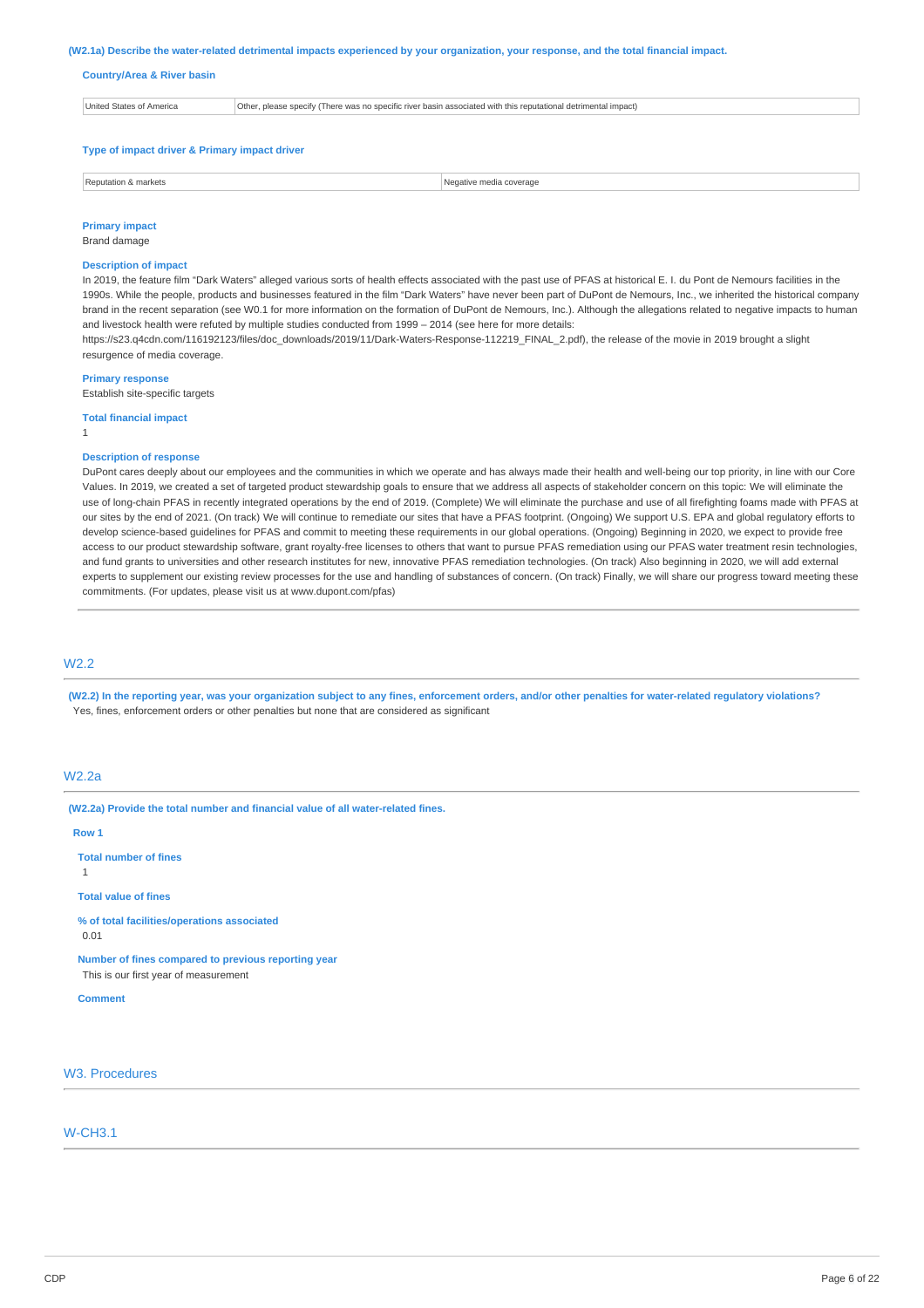#### (W2.1a) Describe the water-related detrimental impacts experienced by your organization, your response, and the total financial impact.

#### **Country/Area & River basin**

| <b>United States of America</b> | Other, please specify (There was no specific river basin associated with this reputational detrimental impact) |
|---------------------------------|----------------------------------------------------------------------------------------------------------------|
|                                 |                                                                                                                |
|                                 |                                                                                                                |

### **Type of impact driver & Primary impact driver**

| l Rei<br>& markets<br>on<br>. | media.<br>88 A A<br>verage<br>. |
|-------------------------------|---------------------------------|
|                               |                                 |

## **Primary impact**

Brand damage

## **Description of impact**

In 2019, the feature film "Dark Waters" alleged various sorts of health effects associated with the past use of PFAS at historical E. I. du Pont de Nemours facilities in the 1990s. While the people, products and businesses featured in the film "Dark Waters" have never been part of DuPont de Nemours, Inc., we inherited the historical company brand in the recent separation (see W0.1 for more information on the formation of DuPont de Nemours, Inc.). Although the allegations related to negative impacts to human and livestock health were refuted by multiple studies conducted from 1999 – 2014 (see here for more details

https://s23.q4cdn.com/116192123/files/doc\_downloads/2019/11/Dark-Waters-Response-112219\_FINAL\_2.pdf), the release of the movie in 2019 brought a slight resurgence of media coverage.

### **Primary response**

Establish site-specific targets

### **Total financial impact**

1

### **Description of response**

DuPont cares deeply about our employees and the communities in which we operate and has always made their health and well-being our top priority, in line with our Core Values. In 2019, we created a set of targeted product stewardship goals to ensure that we address all aspects of stakeholder concern on this topic: We will eliminate the use of long-chain PFAS in recently integrated operations by the end of 2019. (Complete) We will eliminate the purchase and use of all firefighting foams made with PFAS at our sites by the end of 2021. (On track) We will continue to remediate our sites that have a PFAS footprint. (Ongoing) We support U.S. EPA and global regulatory efforts to develop science-based guidelines for PFAS and commit to meeting these requirements in our global operations. (Ongoing) Beginning in 2020, we expect to provide free access to our product stewardship software, grant royalty-free licenses to others that want to pursue PFAS remediation using our PFAS water treatment resin technologies, and fund grants to universities and other research institutes for new, innovative PFAS remediation technologies. (On track) Also beginning in 2020, we will add external experts to supplement our existing review processes for the use and handling of substances of concern. (On track) Finally, we will share our progress toward meeting these commitments. (For updates, please visit us at www.dupont.com/pfas)

## W2.2

(W2.2) In the reporting year, was your organization subject to any fines, enforcement orders, and/or other penalties for water-related regulatory violations? Yes, fines, enforcement orders or other penalties but none that are considered as significant

## W2.2a

**(W2.2a) Provide the total number and financial value of all water-related fines.**

**Row 1**

**Total number of fines**

1

**Total value of fines**

**% of total facilities/operations associated** 0.01

**Number of fines compared to previous reporting year**

This is our first year of measurement

**Comment**

W3. Procedures

## W-CH3.1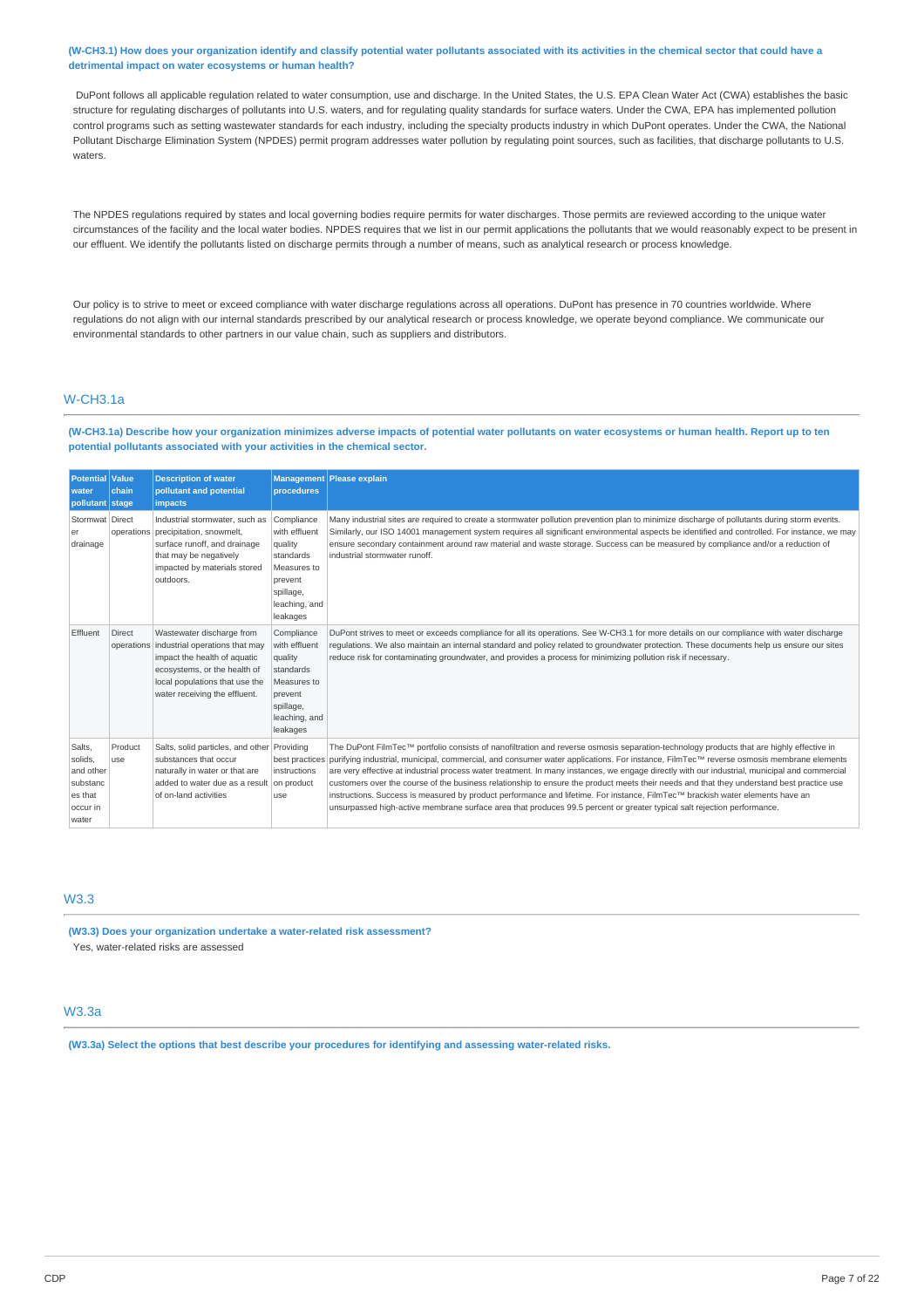### (W-CH3.1) How does your organization identify and classify potential water pollutants associated with its activities in the chemical sector that could have a **detrimental impact on water ecosystems or human health?**

DuPont follows all applicable regulation related to water consumption, use and discharge. In the United States, the U.S. EPA Clean Water Act (CWA) establishes the basic structure for regulating discharges of pollutants into U.S. waters, and for regulating quality standards for surface waters. Under the CWA, EPA has implemented pollution control programs such as setting wastewater standards for each industry, including the specialty products industry in which DuPont operates. Under the CWA, the National Pollutant Discharge Elimination System (NPDES) permit program addresses water pollution by regulating point sources, such as facilities, that discharge pollutants to U.S. waters.

The NPDES regulations required by states and local governing bodies require permits for water discharges. Those permits are reviewed according to the unique water circumstances of the facility and the local water bodies. NPDES requires that we list in our permit applications the pollutants that we would reasonably expect to be present in our effluent. We identify the pollutants listed on discharge permits through a number of means, such as analytical research or process knowledge.

Our policy is to strive to meet or exceed compliance with water discharge regulations across all operations. DuPont has presence in 70 countries worldwide. Where regulations do not align with our internal standards prescribed by our analytical research or process knowledge, we operate beyond compliance. We communicate our environmental standards to other partners in our value chain, such as suppliers and distributors.

# W-CH3.1a

(W-CH3.1a) Describe how your organization minimizes adverse impacts of potential water pollutants on water ecosystems or human health. Report up to ten **potential pollutants associated with your activities in the chemical sector.**

| <b>Potential Value</b><br>water<br>pollutant stage                         | chain          | <b>Description of water</b><br>pollutant and potential<br><i>impacts</i>                                                                                                                                  | procedures                                                                                                              | Management Please explain                                                                                                                                                                                                                                                                                                                                                                                                                                                                                                                                                                                                                                                                                                                                                                                                                    |
|----------------------------------------------------------------------------|----------------|-----------------------------------------------------------------------------------------------------------------------------------------------------------------------------------------------------------|-------------------------------------------------------------------------------------------------------------------------|----------------------------------------------------------------------------------------------------------------------------------------------------------------------------------------------------------------------------------------------------------------------------------------------------------------------------------------------------------------------------------------------------------------------------------------------------------------------------------------------------------------------------------------------------------------------------------------------------------------------------------------------------------------------------------------------------------------------------------------------------------------------------------------------------------------------------------------------|
| Stormwat Direct<br>er<br>drainage                                          |                | Industrial stormwater, such as<br>operations precipitation, snowmelt,<br>surface runoff, and drainage<br>that may be negatively<br>impacted by materials stored<br>outdoors.                              | Compliance<br>with effluent<br>quality<br>standards<br>Measures to<br>prevent<br>spillage,<br>leaching, and<br>leakages | Many industrial sites are required to create a stormwater pollution prevention plan to minimize discharge of pollutants during storm events.<br>Similarly, our ISO 14001 management system requires all significant environmental aspects be identified and controlled. For instance, we may<br>ensure secondary containment around raw material and waste storage. Success can be measured by compliance and/or a reduction of<br>industrial stormwater runoff.                                                                                                                                                                                                                                                                                                                                                                             |
| Effluent                                                                   | <b>Direct</b>  | Wastewater discharge from<br>operations industrial operations that may<br>impact the health of aquatic<br>ecosystems, or the health of<br>local populations that use the<br>water receiving the effluent. | Compliance<br>with effluent<br>quality<br>standards<br>Measures to<br>prevent<br>spillage,<br>leaching, and<br>leakages | DuPont strives to meet or exceeds compliance for all its operations. See W-CH3.1 for more details on our compliance with water discharge<br>requlations. We also maintain an internal standard and policy related to groundwater protection. These documents help us ensure our sites<br>reduce risk for contaminating groundwater, and provides a process for minimizing pollution risk if necessary.                                                                                                                                                                                                                                                                                                                                                                                                                                       |
| Salts,<br>solids.<br>and other<br>substanc<br>es that<br>occur in<br>water | Product<br>use | Salts, solid particles, and other Providing<br>substances that occur<br>naturally in water or that are<br>added to water due as a result on product<br>of on-land activities                              | best practices<br>instructions<br>use                                                                                   | The DuPont FilmTec™ portfolio consists of nanofiltration and reverse osmosis separation-technology products that are highly effective in<br>purifying industrial, municipal, commercial, and consumer water applications. For instance, FilmTec™ reverse osmosis membrane elements<br>are very effective at industrial process water treatment. In many instances, we engage directly with our industrial, municipal and commercial<br>customers over the course of the business relationship to ensure the product meets their needs and that they understand best practice use<br>instructions. Success is measured by product performance and lifetime. For instance, FilmTec™ brackish water elements have an<br>unsurpassed high-active membrane surface area that produces 99.5 percent or greater typical salt rejection performance. |

# W3.3

**(W3.3) Does your organization undertake a water-related risk assessment?** Yes, water-related risks are assessed

## W3.3a

**(W3.3a) Select the options that best describe your procedures for identifying and assessing water-related risks.**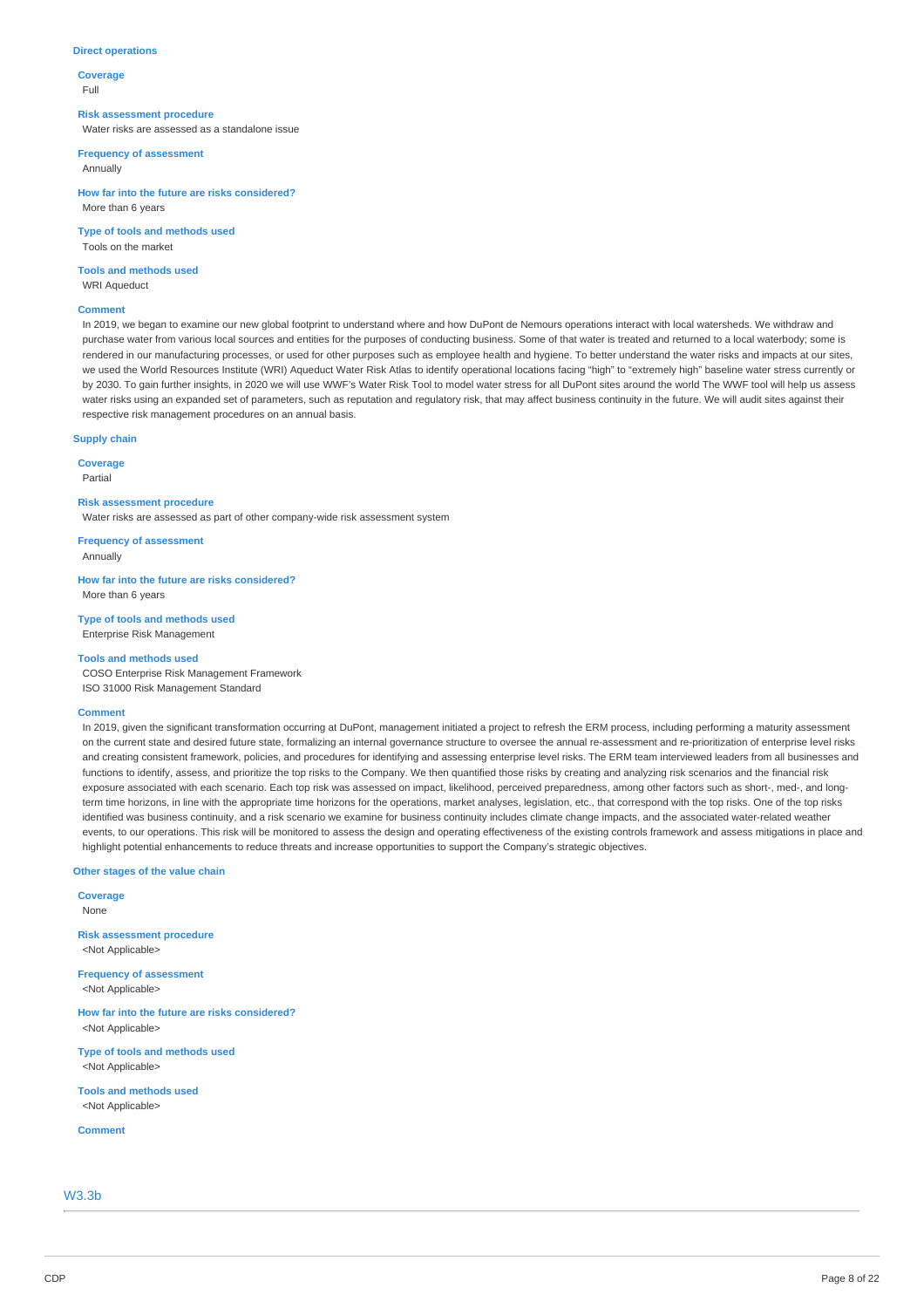#### **Direct operations**

**Coverage** Full

#### **Risk assessment procedure**

Water risks are assessed as a standalone issue

**Frequency of assessment**

Annually

**How far into the future are risks considered?** More than 6 years

**Type of tools and methods used** Tools on the market

**Tools and methods used** WRI Aqueduct

#### **Comment**

In 2019, we began to examine our new global footprint to understand where and how DuPont de Nemours operations interact with local watersheds. We withdraw and purchase water from various local sources and entities for the purposes of conducting business. Some of that water is treated and returned to a local waterbody; some is rendered in our manufacturing processes, or used for other purposes such as employee health and hygiene. To better understand the water risks and impacts at our sites, we used the World Resources Institute (WRI) Aqueduct Water Risk Atlas to identify operational locations facing "high" to "extremely high" baseline water stress currently or by 2030. To gain further insights, in 2020 we will use WWF's Water Risk Tool to model water stress for all DuPont sites around the world The WWF tool will help us assess water risks using an expanded set of parameters, such as reputation and regulatory risk, that may affect business continuity in the future. We will audit sites against their respective risk management procedures on an annual basis.

#### **Supply chain**

**Coverage**

Partial

**Risk assessment procedure** Water risks are assessed as part of other company-wide risk assessment system

**Frequency of assessment** Annually

**How far into the future are risks considered?** More than 6 years

**Type of tools and methods used** Enterprise Risk Management

### **Tools and methods used**

COSO Enterprise Risk Management Framework ISO 31000 Risk Management Standard

#### **Comment**

In 2019, given the significant transformation occurring at DuPont, management initiated a project to refresh the ERM process, including performing a maturity assessment on the current state and desired future state, formalizing an internal governance structure to oversee the annual re-assessment and re-prioritization of enterprise level risks and creating consistent framework, policies, and procedures for identifying and assessing enterprise level risks. The ERM team interviewed leaders from all businesses and functions to identify, assess, and prioritize the top risks to the Company. We then quantified those risks by creating and analyzing risk scenarios and the financial risk exposure associated with each scenario. Each top risk was assessed on impact, likelihood, perceived preparedness, among other factors such as short-, med-, and longterm time horizons, in line with the appropriate time horizons for the operations, market analyses, legislation, etc., that correspond with the top risks. One of the top risks identified was business continuity, and a risk scenario we examine for business continuity includes climate change impacts, and the associated water-related weather events, to our operations. This risk will be monitored to assess the design and operating effectiveness of the existing controls framework and assess mitigations in place and highlight potential enhancements to reduce threats and increase opportunities to support the Company's strategic objectives.

#### **Other stages of the value chain**

**Coverage** None **Risk assessment procedure** <Not Applicable> **Frequency of assessment** <Not Applicable> **How far into the future are risks considered?** <Not Applicable>

**Type of tools and methods used** <Not Applicable>

**Tools and methods used** <Not Applicable>

**Comment**

W3.3b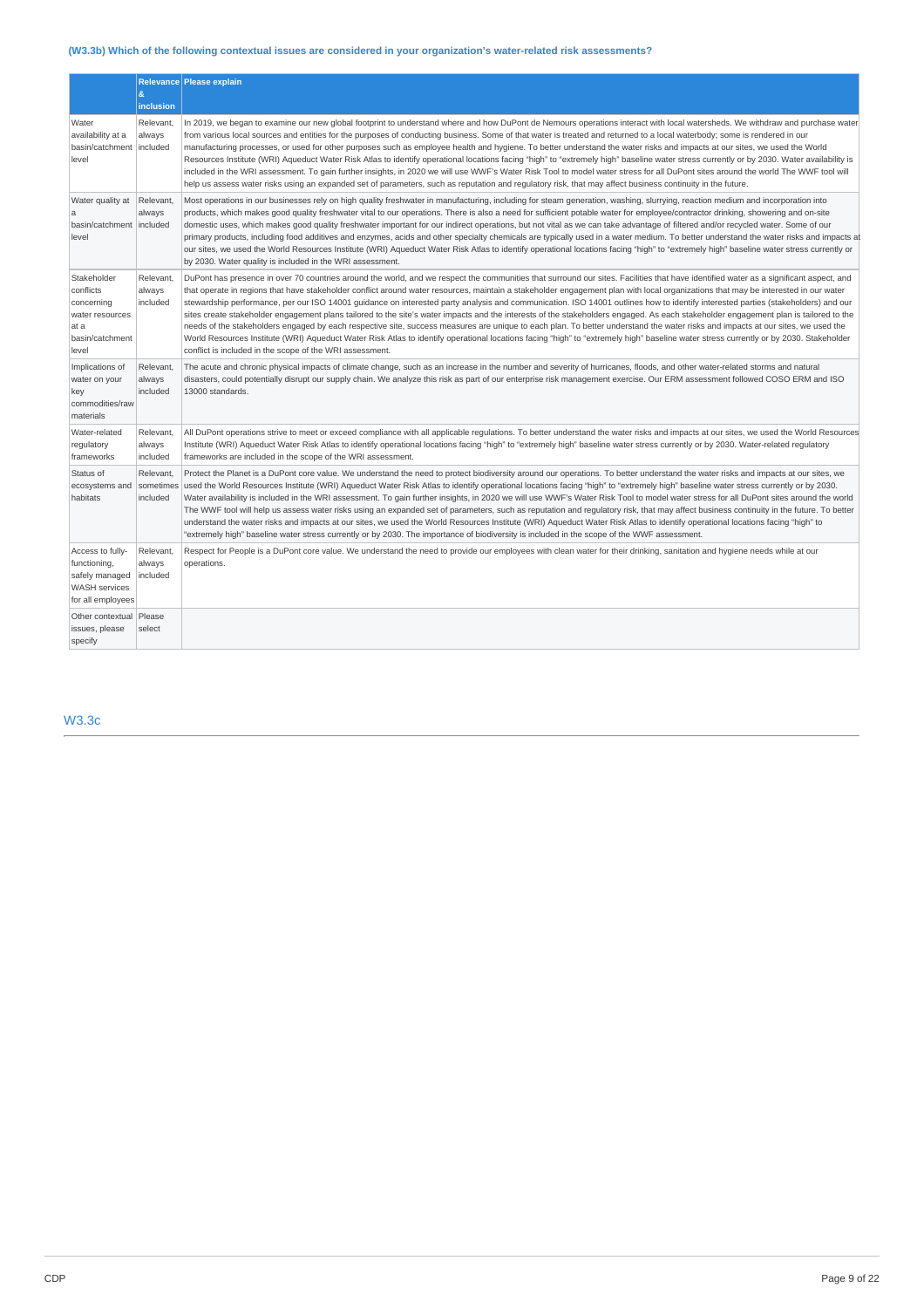# **(W3.3b) Which of the following contextual issues are considered in your organization's water-related risk assessments?**

|                                                                                                 | $\mathbf{g}$                       | Relevance Please explain                                                                                                                                                                                                                                                                                                                                                                                                                                                                                                                                                                                                                                                                                                                                                                                                                                                                                                                                                                                                                                                                                                                                                                        |
|-------------------------------------------------------------------------------------------------|------------------------------------|-------------------------------------------------------------------------------------------------------------------------------------------------------------------------------------------------------------------------------------------------------------------------------------------------------------------------------------------------------------------------------------------------------------------------------------------------------------------------------------------------------------------------------------------------------------------------------------------------------------------------------------------------------------------------------------------------------------------------------------------------------------------------------------------------------------------------------------------------------------------------------------------------------------------------------------------------------------------------------------------------------------------------------------------------------------------------------------------------------------------------------------------------------------------------------------------------|
|                                                                                                 | inclusion                          |                                                                                                                                                                                                                                                                                                                                                                                                                                                                                                                                                                                                                                                                                                                                                                                                                                                                                                                                                                                                                                                                                                                                                                                                 |
| Water<br>availability at a<br>basin/catchment<br>level                                          | Relevant,<br>always<br>included    | In 2019, we began to examine our new global footprint to understand where and how DuPont de Nemours operations interact with local watersheds. We withdraw and purchase water<br>from various local sources and entities for the purposes of conducting business. Some of that water is treated and returned to a local waterbody; some is rendered in our<br>manufacturing processes, or used for other purposes such as employee health and hygiene. To better understand the water risks and impacts at our sites, we used the World<br>Resources Institute (WRI) Aqueduct Water Risk Atlas to identify operational locations facing "high" to "extremely high" baseline water stress currently or by 2030. Water availability is<br>included in the WRI assessment. To gain further insights, in 2020 we will use WWF's Water Risk Tool to model water stress for all DuPont sites around the world The WWF tool will<br>help us assess water risks using an expanded set of parameters, such as reputation and regulatory risk, that may affect business continuity in the future.                                                                                                         |
| Water quality at<br>a<br>basin/catchment included<br>level                                      | Relevant.<br>always                | Most operations in our businesses rely on high quality freshwater in manufacturing, including for steam generation, washing, slurrying, reaction medium and incorporation into<br>products, which makes good quality freshwater vital to our operations. There is also a need for sufficient potable water for employee/contractor drinking, showering and on-site<br>domestic uses, which makes good quality freshwater important for our indirect operations, but not vital as we can take advantage of filtered and/or recycled water. Some of our<br>primary products, including food additives and enzymes, acids and other specialty chemicals are typically used in a water medium. To better understand the water risks and impacts at<br>our sites, we used the World Resources Institute (WRI) Aqueduct Water Risk Atlas to identify operational locations facing "high" to "extremely high" baseline water stress currently or<br>by 2030. Water quality is included in the WRI assessment.                                                                                                                                                                                          |
| Stakeholder<br>conflicts<br>concerning<br>water resources<br>at a<br>basin/catchment<br>level   | Relevant,<br>always<br>included    | DuPont has presence in over 70 countries around the world, and we respect the communities that surround our sites. Facilities that have identified water as a significant aspect, and<br>that operate in regions that have stakeholder conflict around water resources, maintain a stakeholder engagement plan with local organizations that may be interested in our water<br>stewardship performance, per our ISO 14001 guidance on interested party analysis and communication. ISO 14001 outlines how to identify interested parties (stakeholders) and our<br>sites create stakeholder engagement plans tailored to the site's water impacts and the interests of the stakeholders engaged. As each stakeholder engagement plan is tailored to the<br>needs of the stakeholders engaged by each respective site, success measures are unique to each plan. To better understand the water risks and impacts at our sites, we used the<br>World Resources Institute (WRI) Aqueduct Water Risk Atlas to identify operational locations facing "high" to "extremely high" baseline water stress currently or by 2030. Stakeholder<br>conflict is included in the scope of the WRI assessment. |
| Implications of<br>water on your<br>key<br>commodities/raw<br>materials                         | Relevant,<br>always<br>included    | The acute and chronic physical impacts of climate change, such as an increase in the number and severity of hurricanes, floods, and other water-related storms and natural<br>disasters, could potentially disrupt our supply chain. We analyze this risk as part of our enterprise risk management exercise. Our ERM assessment followed COSO ERM and ISO<br>13000 standards.                                                                                                                                                                                                                                                                                                                                                                                                                                                                                                                                                                                                                                                                                                                                                                                                                  |
| Water-related<br>regulatory<br>frameworks                                                       | Relevant,<br>always<br>included    | All DuPont operations strive to meet or exceed compliance with all applicable regulations. To better understand the water risks and impacts at our sites, we used the World Resources<br>Institute (WRI) Aqueduct Water Risk Atlas to identify operational locations facing "high" to "extremely high" baseline water stress currently or by 2030. Water-related regulatory<br>frameworks are included in the scope of the WRI assessment.                                                                                                                                                                                                                                                                                                                                                                                                                                                                                                                                                                                                                                                                                                                                                      |
| Status of<br>ecosystems and<br>habitats                                                         | Relevant.<br>sometimes<br>included | Protect the Planet is a DuPont core value. We understand the need to protect biodiversity around our operations. To better understand the water risks and impacts at our sites, we<br>used the World Resources Institute (WRI) Aqueduct Water Risk Atlas to identify operational locations facing "high" to "extremely high" baseline water stress currently or by 2030.<br>Water availability is included in the WRI assessment. To gain further insights, in 2020 we will use WWF's Water Risk Tool to model water stress for all DuPont sites around the world<br>The WWF tool will help us assess water risks using an expanded set of parameters, such as reputation and regulatory risk, that may affect business continuity in the future. To better<br>understand the water risks and impacts at our sites, we used the World Resources Institute (WRI) Aqueduct Water Risk Atlas to identify operational locations facing "high" to<br>"extremely high" baseline water stress currently or by 2030. The importance of biodiversity is included in the scope of the WWF assessment.                                                                                                     |
| Access to fully-<br>functioning,<br>safely managed<br><b>WASH</b> services<br>for all employees | Relevant,<br>always<br>included    | Respect for People is a DuPont core value. We understand the need to provide our employees with clean water for their drinking, sanitation and hygiene needs while at our<br>operations.                                                                                                                                                                                                                                                                                                                                                                                                                                                                                                                                                                                                                                                                                                                                                                                                                                                                                                                                                                                                        |
| Other contextual<br>issues, please<br>specify                                                   | Please<br>select                   |                                                                                                                                                                                                                                                                                                                                                                                                                                                                                                                                                                                                                                                                                                                                                                                                                                                                                                                                                                                                                                                                                                                                                                                                 |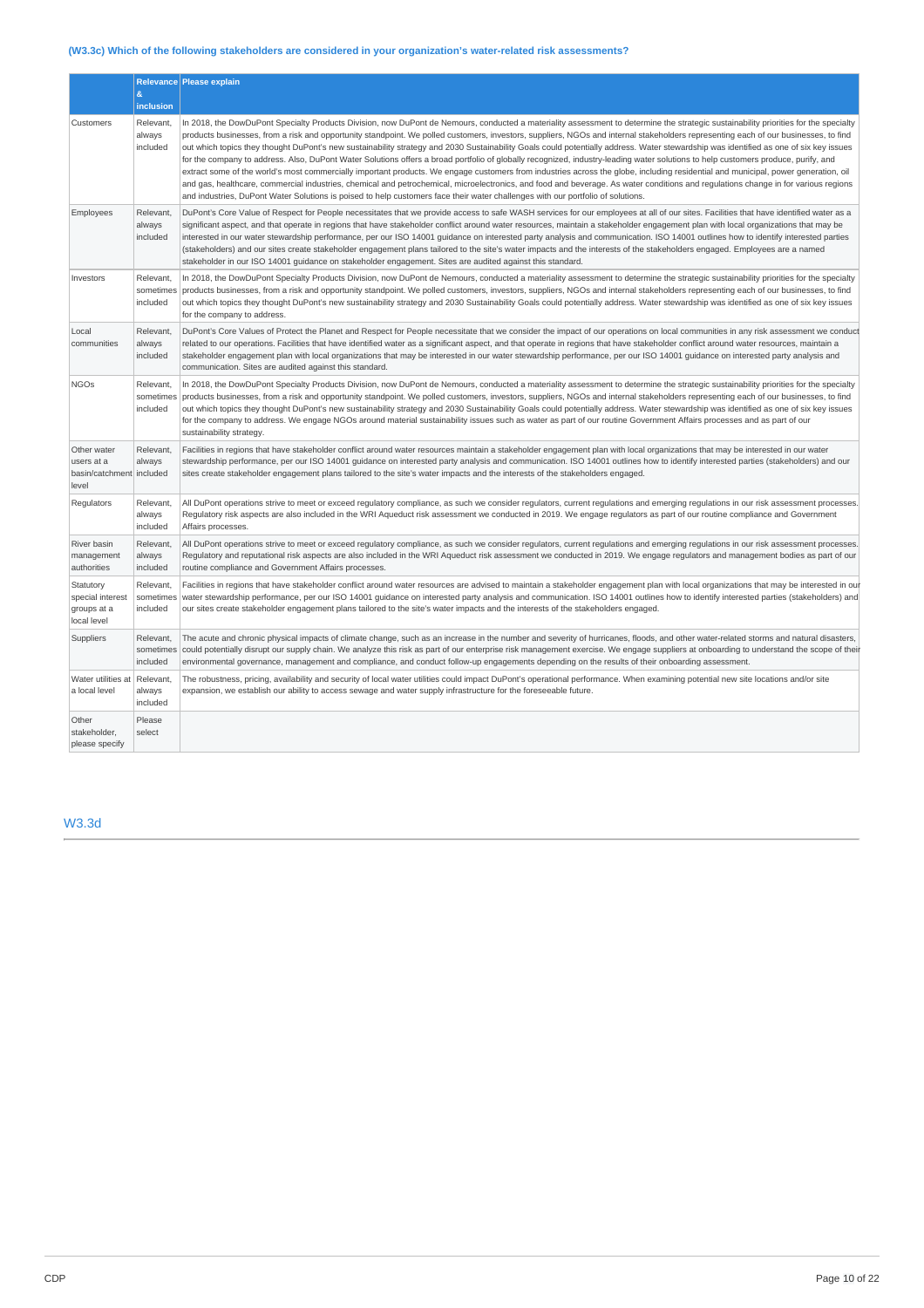# **(W3.3c) Which of the following stakeholders are considered in your organization's water-related risk assessments?**

|                                                                | $\&$                                                | Relevance Please explain                                                                                                                                                                                                                                                                                                                                                                                                                                                                                                                                                                                                                                                                                                                                                                                                                                                                                                                                                                                                                                                                                                                                                                                                                                                 |
|----------------------------------------------------------------|-----------------------------------------------------|--------------------------------------------------------------------------------------------------------------------------------------------------------------------------------------------------------------------------------------------------------------------------------------------------------------------------------------------------------------------------------------------------------------------------------------------------------------------------------------------------------------------------------------------------------------------------------------------------------------------------------------------------------------------------------------------------------------------------------------------------------------------------------------------------------------------------------------------------------------------------------------------------------------------------------------------------------------------------------------------------------------------------------------------------------------------------------------------------------------------------------------------------------------------------------------------------------------------------------------------------------------------------|
| Customers                                                      | <b>inclusion</b><br>Relevant,<br>always<br>included | In 2018, the DowDuPont Specialty Products Division, now DuPont de Nemours, conducted a materiality assessment to determine the strategic sustainability priorities for the specialty<br>products businesses, from a risk and opportunity standpoint. We polled customers, investors, suppliers, NGOs and internal stakeholders representing each of our businesses, to find<br>out which topics they thought DuPont's new sustainability strategy and 2030 Sustainability Goals could potentially address. Water stewardship was identified as one of six key issues<br>for the company to address. Also, DuPont Water Solutions offers a broad portfolio of globally recognized, industry-leading water solutions to help customers produce, purify, and<br>extract some of the world's most commercially important products. We engage customers from industries across the globe, including residential and municipal, power generation, oil<br>and gas, healthcare, commercial industries, chemical and petrochemical, microelectronics, and food and beverage. As water conditions and regulations change in for various regions<br>and industries, DuPont Water Solutions is poised to help customers face their water challenges with our portfolio of solutions. |
| Employees                                                      | Relevant,<br>always<br>included                     | DuPont's Core Value of Respect for People necessitates that we provide access to safe WASH services for our employees at all of our sites. Facilities that have identified water as a<br>significant aspect, and that operate in regions that have stakeholder conflict around water resources, maintain a stakeholder engagement plan with local organizations that may be<br>interested in our water stewardship performance, per our ISO 14001 quidance on interested party analysis and communication. ISO 14001 outlines how to identify interested parties<br>(stakeholders) and our sites create stakeholder engagement plans tailored to the site's water impacts and the interests of the stakeholders engaged. Employees are a named<br>stakeholder in our ISO 14001 quidance on stakeholder engagement. Sites are audited against this standard.                                                                                                                                                                                                                                                                                                                                                                                                              |
| Investors                                                      | Relevant,<br>sometimes<br>included                  | In 2018, the DowDuPont Specialty Products Division, now DuPont de Nemours, conducted a materiality assessment to determine the strategic sustainability priorities for the specialty<br>products businesses, from a risk and opportunity standpoint. We polled customers, investors, suppliers, NGOs and internal stakeholders representing each of our businesses, to find<br>out which topics they thought DuPont's new sustainability strategy and 2030 Sustainability Goals could potentially address. Water stewardship was identified as one of six key issues<br>for the company to address.                                                                                                                                                                                                                                                                                                                                                                                                                                                                                                                                                                                                                                                                      |
| Local<br>communities                                           | Relevant,<br>always<br>included                     | DuPont's Core Values of Protect the Planet and Respect for People necessitate that we consider the impact of our operations on local communities in any risk assessment we conduct<br>related to our operations. Facilities that have identified water as a significant aspect, and that operate in regions that have stakeholder conflict around water resources, maintain a<br>stakeholder engagement plan with local organizations that may be interested in our water stewardship performance, per our ISO 14001 guidance on interested party analysis and<br>communication. Sites are audited against this standard.                                                                                                                                                                                                                                                                                                                                                                                                                                                                                                                                                                                                                                                |
| <b>NGOs</b>                                                    | Relevant,<br>sometimes<br>included                  | In 2018, the DowDuPont Specialty Products Division, now DuPont de Nemours, conducted a materiality assessment to determine the strategic sustainability priorities for the specialty<br>products businesses, from a risk and opportunity standpoint. We polled customers, investors, suppliers, NGOs and internal stakeholders representing each of our businesses, to find<br>out which topics they thought DuPont's new sustainability strategy and 2030 Sustainability Goals could potentially address. Water stewardship was identified as one of six key issues<br>for the company to address. We engage NGOs around material sustainability issues such as water as part of our routine Government Affairs processes and as part of our<br>sustainability strategy.                                                                                                                                                                                                                                                                                                                                                                                                                                                                                                |
| Other water<br>users at a<br>basin/catchment included<br>level | Relevant,<br>always                                 | Facilities in regions that have stakeholder conflict around water resources maintain a stakeholder engagement plan with local organizations that may be interested in our water<br>stewardship performance, per our ISO 14001 quidance on interested party analysis and communication. ISO 14001 outlines how to identify interested parties (stakeholders) and our<br>sites create stakeholder engagement plans tailored to the site's water impacts and the interests of the stakeholders engaged.                                                                                                                                                                                                                                                                                                                                                                                                                                                                                                                                                                                                                                                                                                                                                                     |
| Regulators                                                     | Relevant,<br>always<br>included                     | All DuPont operations strive to meet or exceed regulatory compliance, as such we consider regulators, current regulations and emerging regulations in our risk assessment processes.<br>Regulatory risk aspects are also included in the WRI Aqueduct risk assessment we conducted in 2019. We engage regulators as part of our routine compliance and Government<br>Affairs processes.                                                                                                                                                                                                                                                                                                                                                                                                                                                                                                                                                                                                                                                                                                                                                                                                                                                                                  |
| River basin<br>management<br>authorities                       | Relevant,<br>always<br>included                     | All DuPont operations strive to meet or exceed regulatory compliance, as such we consider regulators, current regulations and emerging regulations in our risk assessment processes.<br>Requlatory and reputational risk aspects are also included in the WRI Aqueduct risk assessment we conducted in 2019. We engage requlators and management bodies as part of our<br>routine compliance and Government Affairs processes.                                                                                                                                                                                                                                                                                                                                                                                                                                                                                                                                                                                                                                                                                                                                                                                                                                           |
| Statutory<br>special interest<br>groups at a<br>local level    | Relevant,<br>sometimes<br>included                  | Facilities in regions that have stakeholder conflict around water resources are advised to maintain a stakeholder engagement plan with local organizations that may be interested in our<br>water stewardship performance, per our ISO 14001 quidance on interested party analysis and communication. ISO 14001 outlines how to identify interested parties (stakeholders) and<br>our sites create stakeholder engagement plans tailored to the site's water impacts and the interests of the stakeholders engaged.                                                                                                                                                                                                                                                                                                                                                                                                                                                                                                                                                                                                                                                                                                                                                      |
| Suppliers                                                      | Relevant,<br>sometimes<br>included                  | The acute and chronic physical impacts of climate change, such as an increase in the number and severity of hurricanes, floods, and other water-related storms and natural disasters,<br>could potentially disrupt our supply chain. We analyze this risk as part of our enterprise risk management exercise. We engage suppliers at onboarding to understand the scope of their<br>environmental governance, management and compliance, and conduct follow-up engagements depending on the results of their onboarding assessment.                                                                                                                                                                                                                                                                                                                                                                                                                                                                                                                                                                                                                                                                                                                                      |
| Water utilities at<br>a local level                            | Relevant,<br>always<br>included                     | The robustness, pricing, availability and security of local water utilities could impact DuPont's operational performance. When examining potential new site locations and/or site<br>expansion, we establish our ability to access sewage and water supply infrastructure for the foreseeable future.                                                                                                                                                                                                                                                                                                                                                                                                                                                                                                                                                                                                                                                                                                                                                                                                                                                                                                                                                                   |
| Other<br>stakeholder,<br>please specify                        | Please<br>select                                    |                                                                                                                                                                                                                                                                                                                                                                                                                                                                                                                                                                                                                                                                                                                                                                                                                                                                                                                                                                                                                                                                                                                                                                                                                                                                          |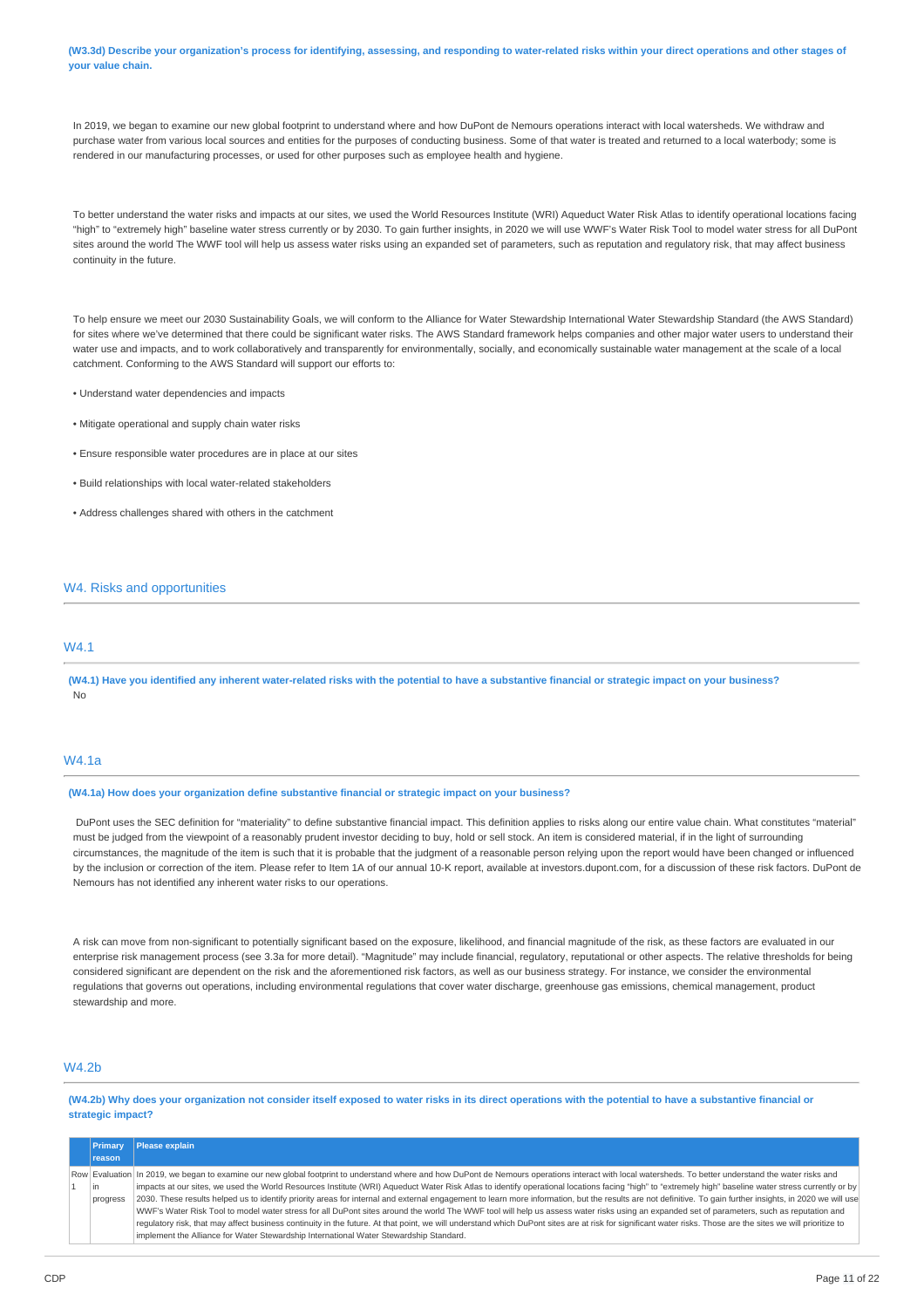(W3.3d) Describe your organization's process for identifying, assessing, and responding to water-related risks within your direct operations and other stages of **your value chain.**

In 2019, we began to examine our new global footprint to understand where and how DuPont de Nemours operations interact with local watersheds. We withdraw and purchase water from various local sources and entities for the purposes of conducting business. Some of that water is treated and returned to a local waterbody; some is rendered in our manufacturing processes, or used for other purposes such as employee health and hygiene.

To better understand the water risks and impacts at our sites, we used the World Resources Institute (WRI) Aqueduct Water Risk Atlas to identify operational locations facing "high" to "extremely high" baseline water stress currently or by 2030. To gain further insights, in 2020 we will use WWF's Water Risk Tool to model water stress for all DuPont sites around the world The WWF tool will help us assess water risks using an expanded set of parameters, such as reputation and regulatory risk, that may affect business continuity in the future.

To help ensure we meet our 2030 Sustainability Goals, we will conform to the Alliance for Water Stewardship International Water Stewardship Standard (the AWS Standard) for sites where we've determined that there could be significant water risks. The AWS Standard framework helps companies and other major water users to understand their water use and impacts, and to work collaboratively and transparently for environmentally, socially, and economically sustainable water management at the scale of a local catchment. Conforming to the AWS Standard will support our efforts to:

- Understand water dependencies and impacts
- Mitigate operational and supply chain water risks
- Ensure responsible water procedures are in place at our sites
- Build relationships with local water-related stakeholders
- Address challenges shared with others in the catchment

## W4. Risks and opportunities

## **MA1**

(W4.1) Have you identified any inherent water-related risks with the potential to have a substantive financial or strategic impact on your business? No

## W4.1a

**(W4.1a) How does your organization define substantive financial or strategic impact on your business?**

DuPont uses the SEC definition for "materiality" to define substantive financial impact. This definition applies to risks along our entire value chain. What constitutes "material" must be judged from the viewpoint of a reasonably prudent investor deciding to buy, hold or sell stock. An item is considered material, if in the light of surrounding circumstances, the magnitude of the item is such that it is probable that the judgment of a reasonable person relying upon the report would have been changed or influenced by the inclusion or correction of the item. Please refer to Item 1A of our annual 10-K report, available at investors.dupont.com, for a discussion of these risk factors. DuPont de Nemours has not identified any inherent water risks to our operations.

A risk can move from non-significant to potentially significant based on the exposure, likelihood, and financial magnitude of the risk, as these factors are evaluated in our enterprise risk management process (see 3.3a for more detail). "Magnitude" may include financial, regulatory, reputational or other aspects. The relative thresholds for being considered significant are dependent on the risk and the aforementioned risk factors, as well as our business strategy. For instance, we consider the environmental regulations that governs out operations, including environmental regulations that cover water discharge, greenhouse gas emissions, chemical management, product stewardship and more.

## W4.2b

(W4.2b) Why does your organization not consider itself exposed to water risks in its direct operations with the potential to have a substantive financial or **strategic impact?**

| <b>Primary</b> | Please explain                                                                                                                                                                                              |
|----------------|-------------------------------------------------------------------------------------------------------------------------------------------------------------------------------------------------------------|
| <b>reason</b>  |                                                                                                                                                                                                             |
|                | Row Evaluation   In 2019, we began to examine our new global footprint to understand where and how DuPont de Nemours operations interact with local watersheds. To better understand the water risks and    |
| l in           | impacts at our sites, we used the World Resources Institute (WRI) Aqueduct Water Risk Atlas to identify operational locations facing "high" to "extremely high" baseline water stress currently or by       |
| progress       | 2030. These results helped us to identify priority areas for internal and external engagement to learn more information, but the results are not definitive. To gain further insights, in 2020 we will use  |
|                | WWF's Water Risk Tool to model water stress for all DuPont sites around the world The WWF tool will help us assess water risks using an expanded set of parameters, such as reputation and                  |
|                | requlatory risk, that may affect business continuity in the future. At that point, we will understand which DuPont sites are at risk for significant water risks. Those are the sites we will prioritize to |
|                | implement the Alliance for Water Stewardship International Water Stewardship Standard.                                                                                                                      |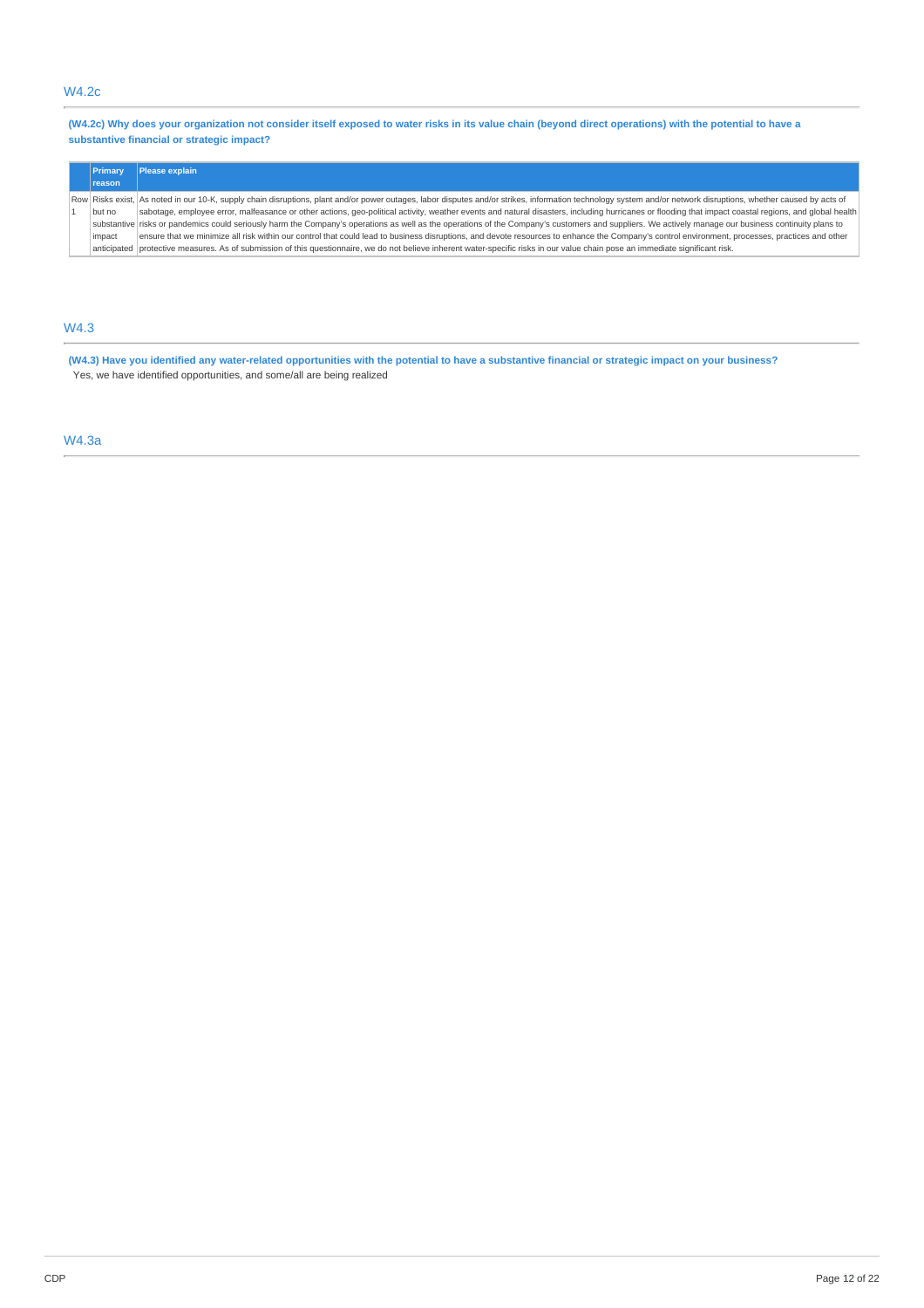# W4.2c

(W4.2c) Why does your organization not consider itself exposed to water risks in its value chain (beyond direct operations) with the potential to have a **substantive financial or strategic impact?**

| Primary       | Please explain                                                                                                                                                                                                  |  |
|---------------|-----------------------------------------------------------------------------------------------------------------------------------------------------------------------------------------------------------------|--|
| <b>reason</b> |                                                                                                                                                                                                                 |  |
|               | Row Risks exist, As noted in our 10-K, supply chain disruptions, plant and/or power outages, labor disputes and/or strikes, information technology system and/or network disruptions, whether caused by acts of |  |
| but no        | sabotage, employee error, malfeasance or other actions, geo-political activity, weather events and natural disasters, including hurricanes or flooding that impact coastal regions, and global health           |  |
|               | substantive risks or pandemics could seriously harm the Company's operations as well as the operations of the Company's customers and suppliers. We actively manage our business continuity plans to            |  |
| impact        | ensure that we minimize all risk within our control that could lead to business disruptions, and devote resources to enhance the Company's control environment, processes, practices and other                  |  |
|               | anticipated protective measures. As of submission of this questionnaire, we do not believe inherent water-specific risks in our value chain pose an immediate significant risk.                                 |  |

# W4.3

(W4.3) Have you identified any water-related opportunities with the potential to have a substantive financial or strategic impact on your business? Yes, we have identified opportunities, and some/all are being realized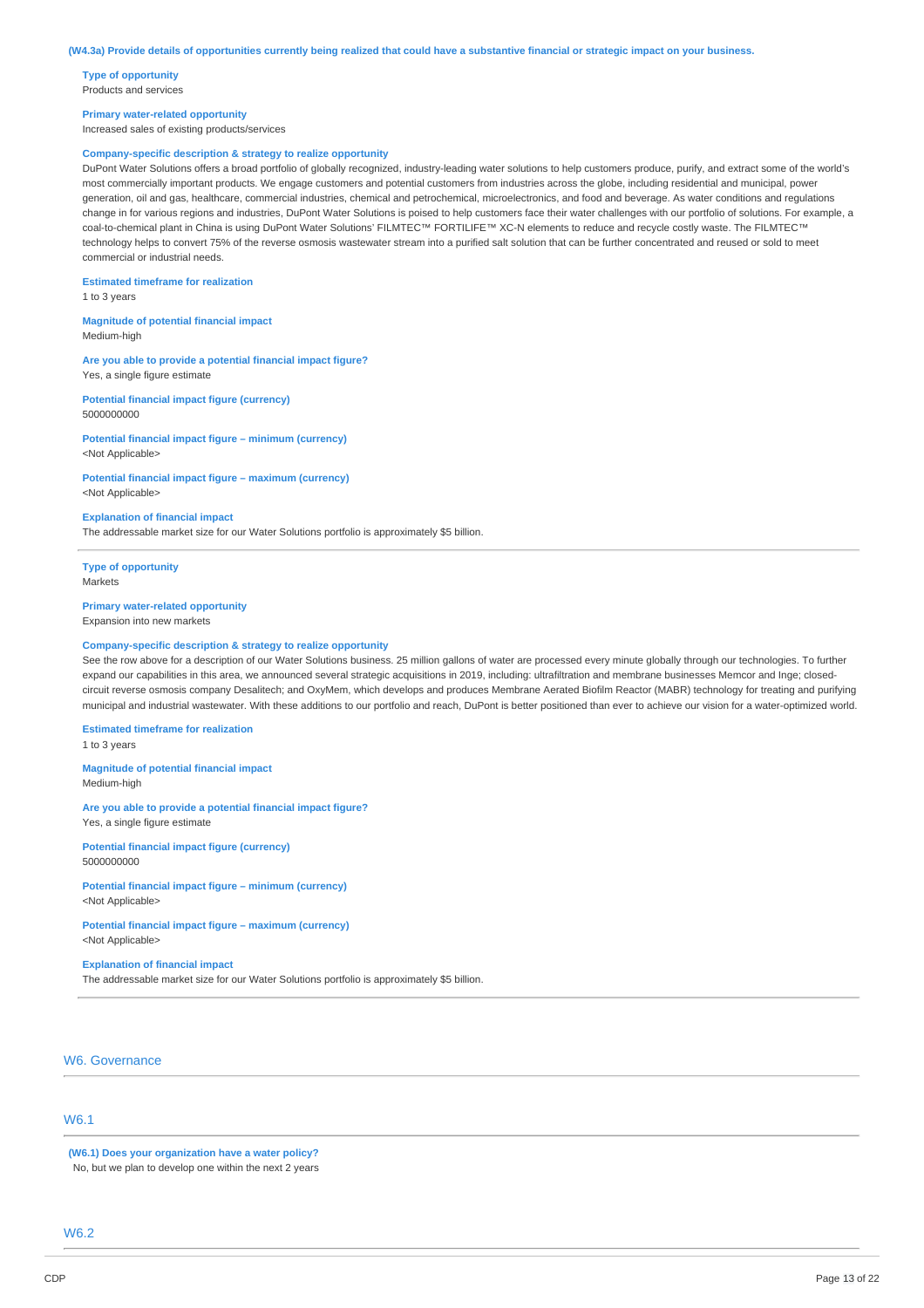**Type of opportunity** Products and services

#### **Primary water-related opportunity**

Increased sales of existing products/services

### **Company-specific description & strategy to realize opportunity**

DuPont Water Solutions offers a broad portfolio of globally recognized, industry-leading water solutions to help customers produce, purify, and extract some of the world's most commercially important products. We engage customers and potential customers from industries across the globe, including residential and municipal, power generation, oil and gas, healthcare, commercial industries, chemical and petrochemical, microelectronics, and food and beverage. As water conditions and regulations change in for various regions and industries, DuPont Water Solutions is poised to help customers face their water challenges with our portfolio of solutions. For example, a coal-to-chemical plant in China is using DuPont Water Solutions' FILMTEC™ FORTILIFE™ XC-N elements to reduce and recycle costly waste. The FILMTEC™ technology helps to convert 75% of the reverse osmosis wastewater stream into a purified salt solution that can be further concentrated and reused or sold to meet commercial or industrial needs.

**Estimated timeframe for realization** 1 to 3 years

**Magnitude of potential financial impact** Medium-high

**Are you able to provide a potential financial impact figure?** Yes, a single figure estimate

#### **Potential financial impact figure (currency)** 5000000000

**Potential financial impact figure – minimum (currency)** <Not Applicable>

#### **Potential financial impact figure – maximum (currency)** <Not Applicable>

#### **Explanation of financial impact**

The addressable market size for our Water Solutions portfolio is approximately \$5 billion.

**Type of opportunity** Markets

### **Primary water-related opportunity**

Expansion into new markets

#### **Company-specific description & strategy to realize opportunity**

See the row above for a description of our Water Solutions business. 25 million gallons of water are processed every minute globally through our technologies. To further expand our capabilities in this area, we announced several strategic acquisitions in 2019, including: ultrafiltration and membrane businesses Memcor and Inge; closedcircuit reverse osmosis company Desalitech; and OxyMem, which develops and produces Membrane Aerated Biofilm Reactor (MABR) technology for treating and purifying municipal and industrial wastewater. With these additions to our portfolio and reach, DuPont is better positioned than ever to achieve our vision for a water-optimized world.

#### **Estimated timeframe for realization**

1 to 3 years

**Magnitude of potential financial impact** Medium-high

**Are you able to provide a potential financial impact figure?** Yes, a single figure estimate

**Potential financial impact figure (currency)** 5000000000

### **Potential financial impact figure – minimum (currency)** <Not Applicable>

**Potential financial impact figure – maximum (currency)** <Not Applicable>

### **Explanation of financial impact**

The addressable market size for our Water Solutions portfolio is approximately \$5 billion.

# W6. Governance

# W6.1

**(W6.1) Does your organization have a water policy?** No, but we plan to develop one within the next 2 years

W6.2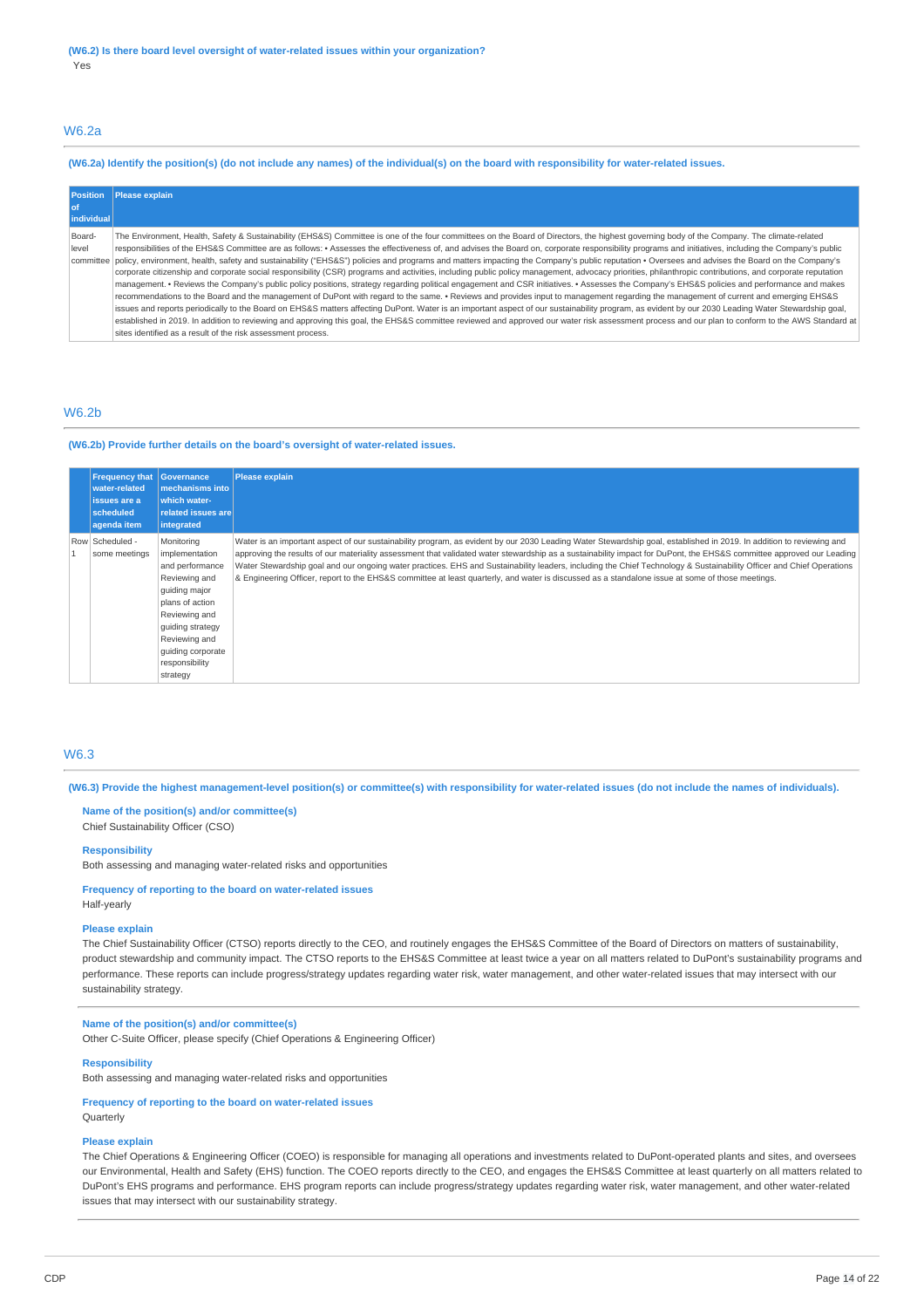## W6.2a

### (W6.2a) Identify the position(s) (do not include any names) of the individual(s) on the board with responsibility for water-related issues.

| <b>Position</b><br>l of<br>individual | Please explain                                                                                                                                                                                                                                                                                                                                                                                                                                                                                                                                                                                                                                                                                                                                                                                                                                                                                                                                                                                                                                                                                                                                                                                                                                                                                                                                                                                                                                                                                                                                                                                                                                                                              |
|---------------------------------------|---------------------------------------------------------------------------------------------------------------------------------------------------------------------------------------------------------------------------------------------------------------------------------------------------------------------------------------------------------------------------------------------------------------------------------------------------------------------------------------------------------------------------------------------------------------------------------------------------------------------------------------------------------------------------------------------------------------------------------------------------------------------------------------------------------------------------------------------------------------------------------------------------------------------------------------------------------------------------------------------------------------------------------------------------------------------------------------------------------------------------------------------------------------------------------------------------------------------------------------------------------------------------------------------------------------------------------------------------------------------------------------------------------------------------------------------------------------------------------------------------------------------------------------------------------------------------------------------------------------------------------------------------------------------------------------------|
| Board-<br>level                       | The Environment, Health, Safety & Sustainability (EHS&S) Committee is one of the four committees on the Board of Directors, the highest governing body of the Company. The climate-related<br>responsibilities of the EHS&S Committee are as follows: • Assesses the effectiveness of, and advises the Board on, corporate responsibility programs and initiatives, including the Company's public<br>committee policy, environment, health, safety and sustainability ("EHS&S") policies and programs and matters impacting the Company's public reputation • Oversees and advises the Board on the Company's<br>corporate citizenship and corporate social responsibility (CSR) programs and activities, including public policy management, advocacy priorities, philanthropic contributions, and corporate reputation<br>management. • Reviews the Company's public policy positions, strategy regarding political engagement and CSR initiatives. • Assesses the Company's EHS&S policies and performance and makes<br>recommendations to the Board and the management of DuPont with regard to the same. • Reviews and provides input to management regarding the management of current and emerging EHS&S<br>issues and reports periodically to the Board on EHS&S matters affecting DuPont. Water is an important aspect of our sustainability program, as evident by our 2030 Leading Water Stewardship goal,<br>established in 2019. In addition to reviewing and approving this goal, the EHS&S committee reviewed and approved our water risk assessment process and our plan to conform to the AWS Standard at<br>sites identified as a result of the risk assessment process. |

### W6.2b

### **(W6.2b) Provide further details on the board's oversight of water-related issues.**

| <b>Frequency that</b><br>water-related<br>issues are a<br>scheduled<br>agenda item | Governance<br>mechanisms into I<br>which water-<br>related issues are<br>integrated                                                                                                                           | <b>Please explain</b>                                                                                                                                                                                                                                                                                                                                                                                                                                                                                                                                                                                                                                                    |
|------------------------------------------------------------------------------------|---------------------------------------------------------------------------------------------------------------------------------------------------------------------------------------------------------------|--------------------------------------------------------------------------------------------------------------------------------------------------------------------------------------------------------------------------------------------------------------------------------------------------------------------------------------------------------------------------------------------------------------------------------------------------------------------------------------------------------------------------------------------------------------------------------------------------------------------------------------------------------------------------|
| Row Scheduled -<br>some meetings                                                   | Monitoring<br>implementation<br>and performance<br>Reviewing and<br>quiding major<br>plans of action<br>Reviewing and<br>guiding strategy<br>Reviewing and<br>guiding corporate<br>responsibility<br>strategy | Water is an important aspect of our sustainability program, as evident by our 2030 Leading Water Stewardship goal, established in 2019. In addition to reviewing and<br>approving the results of our materiality assessment that validated water stewardship as a sustainability impact for DuPont, the EHS&S committee approved our Leading<br>Water Stewardship goal and our ongoing water practices. EHS and Sustainability leaders, including the Chief Technology & Sustainability Officer and Chief Operations<br>& Engineering Officer, report to the EHS&S committee at least quarterly, and water is discussed as a standalone issue at some of those meetings. |

## W6.3

(W6.3) Provide the highest management-level position(s) or committee(s) with responsibility for water-related issues (do not include the names of individuals).

### **Name of the position(s) and/or committee(s)** Chief Sustainability Officer (CSO)

### **Responsibility**

Both assessing and managing water-related risks and opportunities

### **Frequency of reporting to the board on water-related issues** Half-yearly

### **Please explain**

The Chief Sustainability Officer (CTSO) reports directly to the CEO, and routinely engages the EHS&S Committee of the Board of Directors on matters of sustainability, product stewardship and community impact. The CTSO reports to the EHS&S Committee at least twice a year on all matters related to DuPont's sustainability programs and performance. These reports can include progress/strategy updates regarding water risk, water management, and other water-related issues that may intersect with our sustainability strategy.

## **Name of the position(s) and/or committee(s)**

Other C-Suite Officer, please specify (Chief Operations & Engineering Officer)

## **Responsibility**

Both assessing and managing water-related risks and opportunities

## **Frequency of reporting to the board on water-related issues Ouarterly**

#### **Please explain**

The Chief Operations & Engineering Officer (COEO) is responsible for managing all operations and investments related to DuPont-operated plants and sites, and oversees our Environmental, Health and Safety (EHS) function. The COEO reports directly to the CEO, and engages the EHS&S Committee at least quarterly on all matters related to DuPont's EHS programs and performance. EHS program reports can include progress/strategy updates regarding water risk, water management, and other water-related issues that may intersect with our sustainability strategy.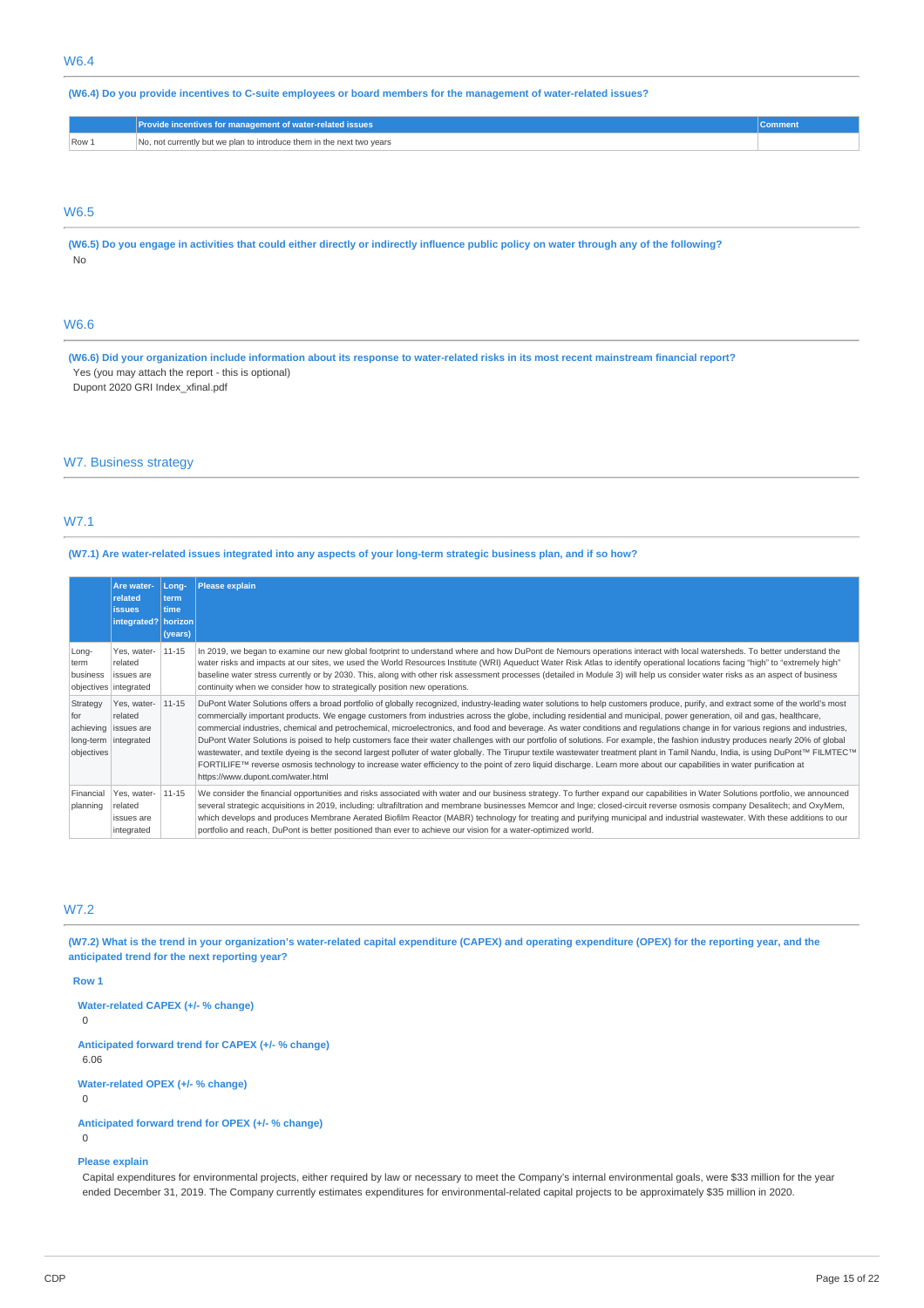(W6.4) Do you provide incentives to C-suite employees or board members for the management of water-related issues?

|                  | Provide incentives for management of water-related issues <b>'</b>    |  |
|------------------|-----------------------------------------------------------------------|--|
| Row <sub>1</sub> | No, not currently but we plan to introduce them in the next two years |  |

## W6.5

(W6.5) Do you engage in activities that could either directly or indirectly influence public policy on water through any of the following? No

# W6.6

(W6.6) Did your organization include information about its response to water-related risks in its most recent mainstream financial report? Yes (you may attach the report - this is optional)

Dupont 2020 GRI Index\_xfinal.pdf

### W7. Business strategy

# W7.1

## (W7.1) Are water-related issues integrated into any aspects of your long-term strategic business plan, and if so how?

|                               | Are water-<br>related<br><b>issues</b><br>integrated?   horizon          | Long-<br>term<br><b>time</b><br>(years) | Please explain                                                                                                                                                                                                                                                                                                                                                                                                                                                                                                                                                                                                                                                                                                                                                                                                                                                                                                                                                                                                                                                                                                                  |
|-------------------------------|--------------------------------------------------------------------------|-----------------------------------------|---------------------------------------------------------------------------------------------------------------------------------------------------------------------------------------------------------------------------------------------------------------------------------------------------------------------------------------------------------------------------------------------------------------------------------------------------------------------------------------------------------------------------------------------------------------------------------------------------------------------------------------------------------------------------------------------------------------------------------------------------------------------------------------------------------------------------------------------------------------------------------------------------------------------------------------------------------------------------------------------------------------------------------------------------------------------------------------------------------------------------------|
| Long-<br>term<br>business     | Yes, water-<br>related<br>issues are<br>objectives integrated            | $11 - 15$                               | In 2019, we began to examine our new global footprint to understand where and how DuPont de Nemours operations interact with local watersheds. To better understand the<br>water risks and impacts at our sites, we used the World Resources Institute (WRI) Aqueduct Water Risk Atlas to identify operational locations facing "high" to "extremely high"<br>baseline water stress currently or by 2030. This, along with other risk assessment processes (detailed in Module 3) will help us consider water risks as an aspect of business<br>continuity when we consider how to strategically position new operations.                                                                                                                                                                                                                                                                                                                                                                                                                                                                                                       |
| Strategy<br>for<br>objectives | Yes, water-<br>related<br>achieving issues are<br>long-term   integrated | $11 - 15$                               | DuPont Water Solutions offers a broad portfolio of globally recognized, industry-leading water solutions to help customers produce, purify, and extract some of the world's most<br>commercially important products. We engage customers from industries across the globe, including residential and municipal, power generation, oil and gas, healthcare,<br>commercial industries, chemical and petrochemical, microelectronics, and food and beverage. As water conditions and regulations change in for various regions and industries,<br>DuPont Water Solutions is poised to help customers face their water challenges with our portfolio of solutions. For example, the fashion industry produces nearly 20% of global<br>wastewater, and textile dyeing is the second largest polluter of water globally. The Tirupur textile wastewater treatment plant in Tamil Nandu, India, is using DuPont™ FILMTEC™<br>FORTILIFE™ reverse osmosis technology to increase water efficiency to the point of zero liquid discharge. Learn more about our capabilities in water purification at<br>https://www.dupont.com/water.html |
| Financial<br>planning         | Yes, water-<br>related<br>issues are<br>integrated                       | $11 - 15$                               | We consider the financial opportunities and risks associated with water and our business strategy. To further expand our capabilities in Water Solutions portfolio, we announced<br>several strategic acquisitions in 2019, including: ultrafiltration and membrane businesses Memcor and Inge; closed-circuit reverse osmosis company Desalitech; and OxyMem,<br>which develops and produces Membrane Aerated Biofilm Reactor (MABR) technology for treating and purifying municipal and industrial wastewater. With these additions to our<br>portfolio and reach, DuPont is better positioned than ever to achieve our vision for a water-optimized world.                                                                                                                                                                                                                                                                                                                                                                                                                                                                   |

# W7.2

(W7.2) What is the trend in your organization's water-related capital expenditure (CAPEX) and operating expenditure (OPEX) for the reporting year, and the **anticipated trend for the next reporting year?**

### **Row 1**

**Water-related CAPEX (+/- % change)**

0

**Anticipated forward trend for CAPEX (+/- % change)** 6.06

**Water-related OPEX (+/- % change)**

0

0

**Anticipated forward trend for OPEX (+/- % change)**

#### **Please explain**

Capital expenditures for environmental projects, either required by law or necessary to meet the Company's internal environmental goals, were \$33 million for the year ended December 31, 2019. The Company currently estimates expenditures for environmental-related capital projects to be approximately \$35 million in 2020.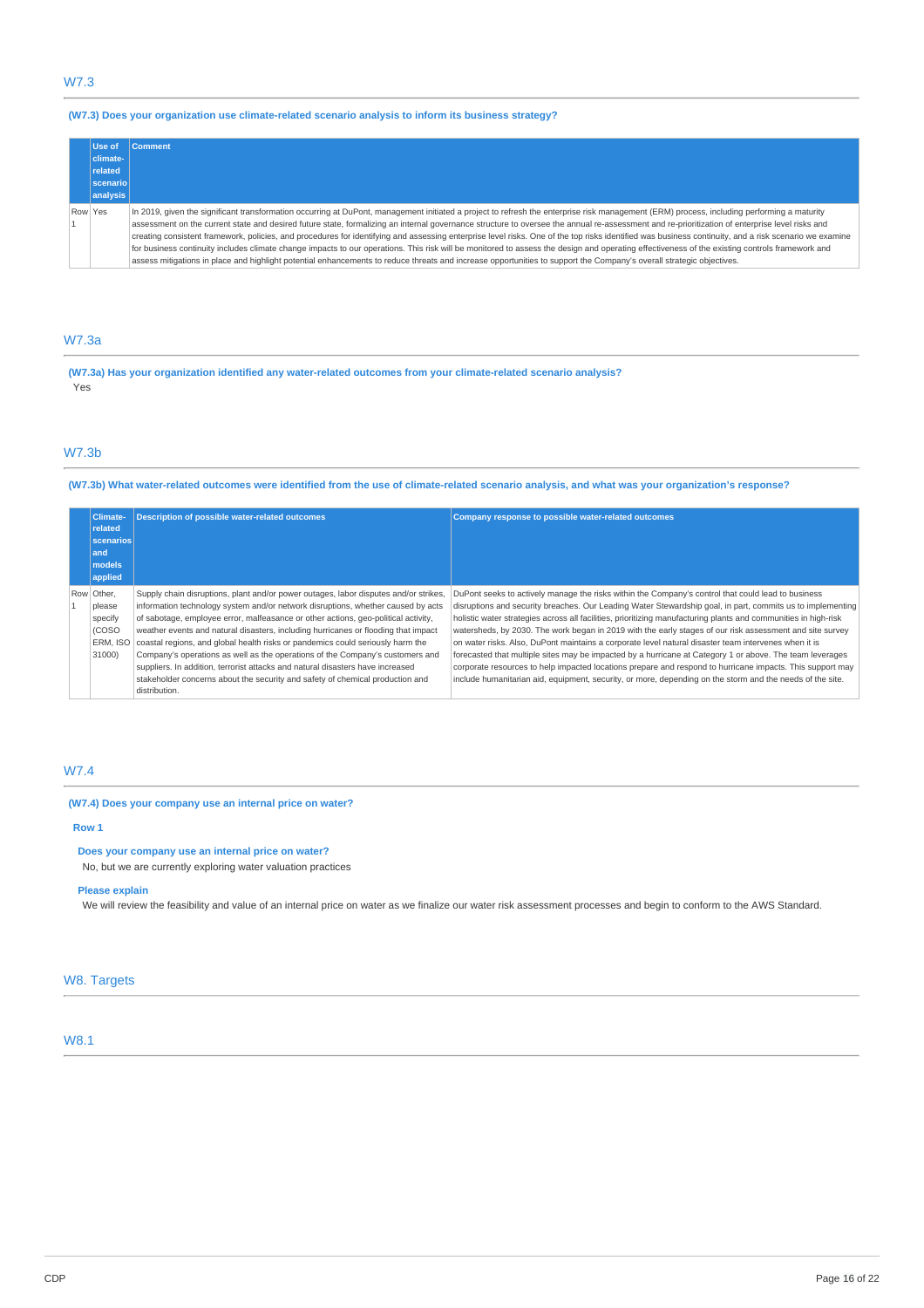# W7.3

## **(W7.3) Does your organization use climate-related scenario analysis to inform its business strategy?**

| Use of    | <b>Comment</b>                                                                                                                                                                                                                                                                                                                                                                                                                                                                                                                                                                                                                                                                                                                                                                                          |
|-----------|---------------------------------------------------------------------------------------------------------------------------------------------------------------------------------------------------------------------------------------------------------------------------------------------------------------------------------------------------------------------------------------------------------------------------------------------------------------------------------------------------------------------------------------------------------------------------------------------------------------------------------------------------------------------------------------------------------------------------------------------------------------------------------------------------------|
| climate-  |                                                                                                                                                                                                                                                                                                                                                                                                                                                                                                                                                                                                                                                                                                                                                                                                         |
| related   |                                                                                                                                                                                                                                                                                                                                                                                                                                                                                                                                                                                                                                                                                                                                                                                                         |
| scenariol |                                                                                                                                                                                                                                                                                                                                                                                                                                                                                                                                                                                                                                                                                                                                                                                                         |
| analysis  |                                                                                                                                                                                                                                                                                                                                                                                                                                                                                                                                                                                                                                                                                                                                                                                                         |
| Row Yes   | In 2019, given the significant transformation occurring at DuPont, management initiated a project to refresh the enterprise risk management (ERM) process, including performing a maturity<br>assessment on the current state and desired future state, formalizing an internal governance structure to oversee the annual re-assessment and re-prioritization of enterprise level risks and<br>creating consistent framework, policies, and procedures for identifying and assessing enterprise level risks. One of the top risks identified was business continuity, and a risk scenario we examine<br>for business continuity includes climate change impacts to our operations. This risk will be monitored to assess the design and operating effectiveness of the existing controls framework and |
|           | assess mitigations in place and highlight potential enhancements to reduce threats and increase opportunities to support the Company's overall strategic objectives.                                                                                                                                                                                                                                                                                                                                                                                                                                                                                                                                                                                                                                    |

# W7.3a

**(W7.3a) Has your organization identified any water-related outcomes from your climate-related scenario analysis?** Yes

# W7.3b

## (W7.3b) What water-related outcomes were identified from the use of climate-related scenario analysis, and what was your organization's response?

| <b>Climate-</b> |            | <b>Description of possible water-related outcomes</b>                                | Company response to possible water-related outcomes                                                             |  |
|-----------------|------------|--------------------------------------------------------------------------------------|-----------------------------------------------------------------------------------------------------------------|--|
|                 | related    |                                                                                      |                                                                                                                 |  |
|                 | scenarios  |                                                                                      |                                                                                                                 |  |
|                 | and        |                                                                                      |                                                                                                                 |  |
|                 | models     |                                                                                      |                                                                                                                 |  |
|                 | applied    |                                                                                      |                                                                                                                 |  |
|                 | Row Other, | Supply chain disruptions, plant and/or power outages, labor disputes and/or strikes, | DuPont seeks to actively manage the risks within the Company's control that could lead to business              |  |
|                 | please     | information technology system and/or network disruptions, whether caused by acts     | disruptions and security breaches. Our Leading Water Stewardship goal, in part, commits us to implementing      |  |
|                 | specify    | of sabotage, employee error, malfeasance or other actions, geo-political activity,   | holistic water strategies across all facilities, prioritizing manufacturing plants and communities in high-risk |  |
|                 | (COSO      | weather events and natural disasters, including hurricanes or flooding that impact   | watersheds, by 2030. The work began in 2019 with the early stages of our risk assessment and site survey        |  |
|                 | ERM. ISO   | coastal regions, and global health risks or pandemics could seriously harm the       | on water risks. Also, DuPont maintains a corporate level natural disaster team intervenes when it is            |  |
|                 | 31000)     | Company's operations as well as the operations of the Company's customers and        | forecasted that multiple sites may be impacted by a hurricane at Category 1 or above. The team leverages        |  |
|                 |            | suppliers. In addition, terrorist attacks and natural disasters have increased       | corporate resources to help impacted locations prepare and respond to hurricane impacts. This support may       |  |
|                 |            | stakeholder concerns about the security and safety of chemical production and        | include humanitarian aid, equipment, security, or more, depending on the storm and the needs of the site.       |  |
|                 |            | distribution.                                                                        |                                                                                                                 |  |

## W7.4

## **(W7.4) Does your company use an internal price on water?**

### **Row 1**

**Does your company use an internal price on water?**

No, but we are currently exploring water valuation practices

## **Please explain**

We will review the feasibility and value of an internal price on water as we finalize our water risk assessment processes and begin to conform to the AWS Standard.

# W8. Targets

# W8.1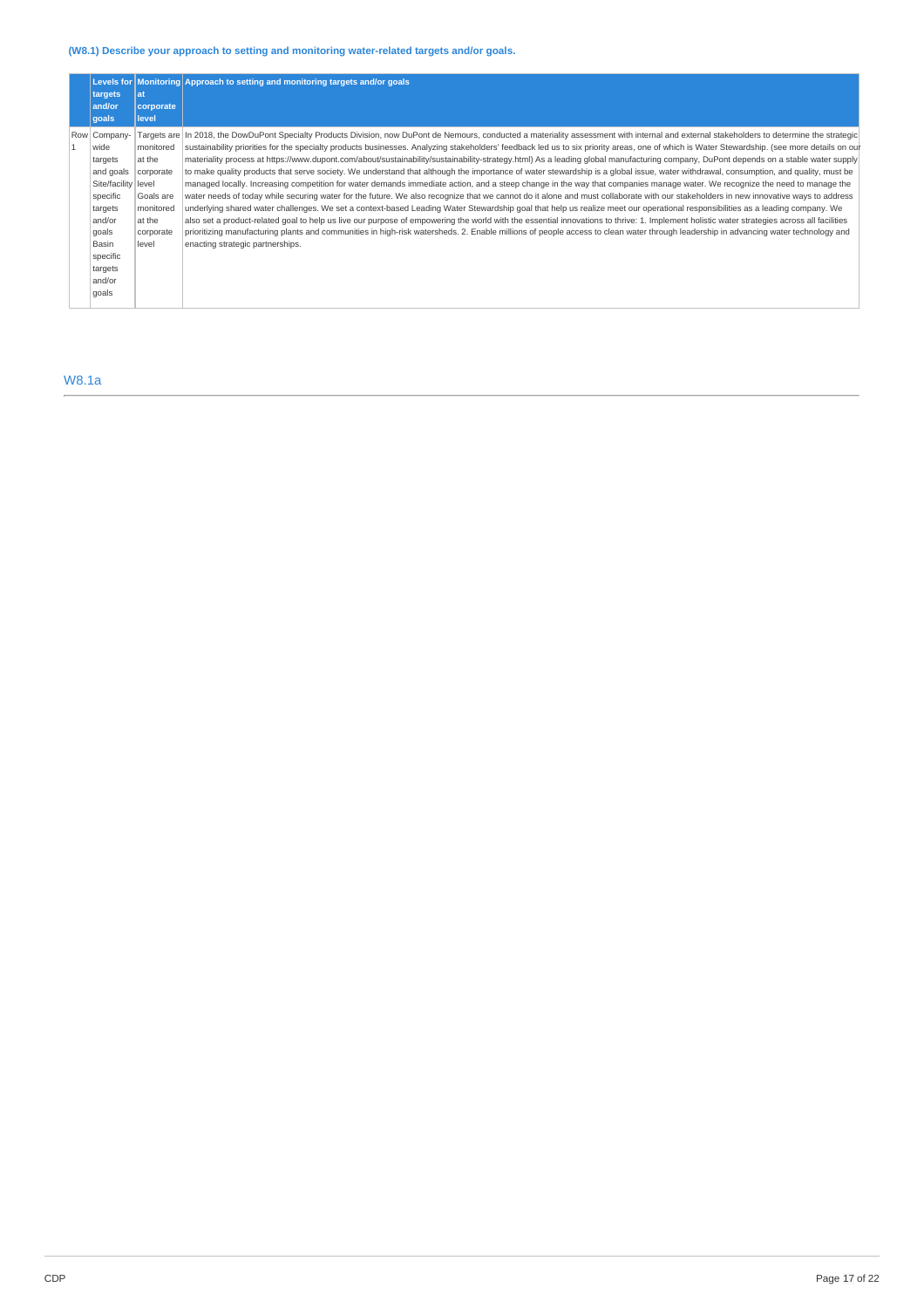## **(W8.1) Describe your approach to setting and monitoring water-related targets and/or goals.**

| targets                                                                                                                                                          | lat                                                                                        | Levels for Monitoring Approach to setting and monitoring targets and/or goals                                                                                                                                                                                                                                                                                                                                                                                                                                                                                                                                                                                                                                                                                                                                                                                                                                                                                                                                                                                                                                                                                                                                                                                                                                                                                                                                                                                                                                                                                                                                                                                                                                                                            |
|------------------------------------------------------------------------------------------------------------------------------------------------------------------|--------------------------------------------------------------------------------------------|----------------------------------------------------------------------------------------------------------------------------------------------------------------------------------------------------------------------------------------------------------------------------------------------------------------------------------------------------------------------------------------------------------------------------------------------------------------------------------------------------------------------------------------------------------------------------------------------------------------------------------------------------------------------------------------------------------------------------------------------------------------------------------------------------------------------------------------------------------------------------------------------------------------------------------------------------------------------------------------------------------------------------------------------------------------------------------------------------------------------------------------------------------------------------------------------------------------------------------------------------------------------------------------------------------------------------------------------------------------------------------------------------------------------------------------------------------------------------------------------------------------------------------------------------------------------------------------------------------------------------------------------------------------------------------------------------------------------------------------------------------|
| and/or<br>qoals                                                                                                                                                  | corporate<br>level                                                                         |                                                                                                                                                                                                                                                                                                                                                                                                                                                                                                                                                                                                                                                                                                                                                                                                                                                                                                                                                                                                                                                                                                                                                                                                                                                                                                                                                                                                                                                                                                                                                                                                                                                                                                                                                          |
| Row Company-<br>wide<br>targets<br>and goals<br>Site/facility level<br>specific<br>targets<br>and/or<br>qoals<br>Basin<br>specific<br>targets<br>and/or<br>qoals | monitored<br>at the<br>corporate<br>Goals are<br>monitored<br>at the<br>corporate<br>level | Targets are  In 2018, the DowDuPont Specialty Products Division, now DuPont de Nemours, conducted a materiality assessment with internal and external stakeholders to determine the strategic<br>sustainability priorities for the specialty products businesses. Analyzing stakeholders' feedback led us to six priority areas, one of which is Water Stewardship. (see more details on our<br>materiality process at https://www.dupont.com/about/sustainability/sustainability-strategy.html) As a leading global manufacturing company, DuPont depends on a stable water supply<br>to make quality products that serve society. We understand that although the importance of water stewardship is a global issue, water withdrawal, consumption, and quality, must be<br>managed locally. Increasing competition for water demands immediate action, and a steep change in the way that companies manage water. We recognize the need to manage the<br>water needs of today while securing water for the future. We also recognize that we cannot do it alone and must collaborate with our stakeholders in new innovative ways to address<br>underlying shared water challenges. We set a context-based Leading Water Stewardship goal that help us realize meet our operational responsibilities as a leading company. We<br>also set a product-related goal to help us live our purpose of empowering the world with the essential innovations to thrive: 1. Implement holistic water strategies across all facilities<br>prioritizing manufacturing plants and communities in high-risk watersheds. 2. Enable millions of people access to clean water through leadership in advancing water technology and<br>enacting strategic partnerships. |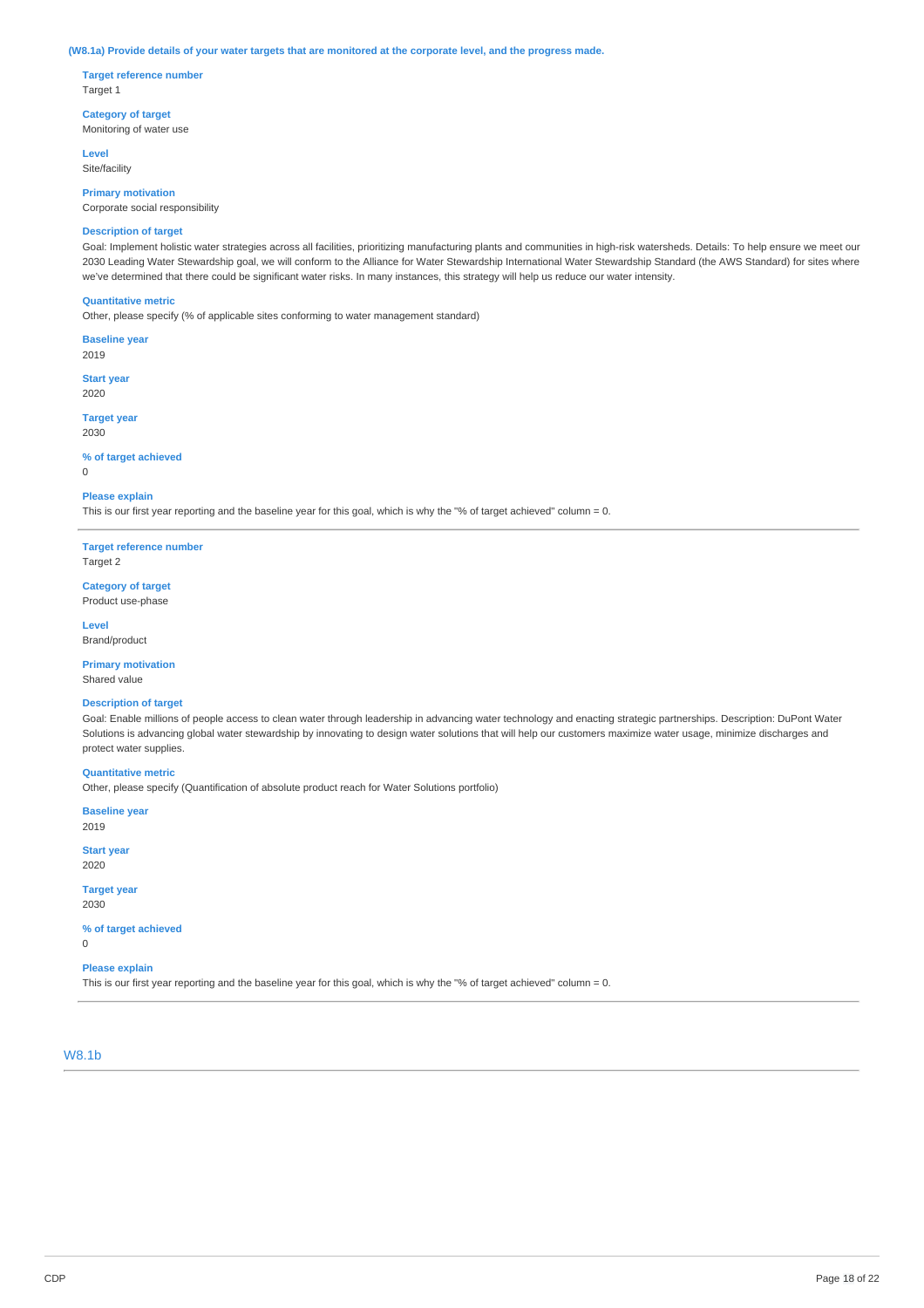#### (W8.1a) Provide details of your water targets that are monitored at the corporate level, and the progress made.

**Target reference number** Target 1

**Category of target** Monitoring of water use

**Level** Site/facility

**Primary motivation** Corporate social responsibility

## **Description of target**

Goal: Implement holistic water strategies across all facilities, prioritizing manufacturing plants and communities in high-risk watersheds. Details: To help ensure we meet our 2030 Leading Water Stewardship goal, we will conform to the Alliance for Water Stewardship International Water Stewardship Standard (the AWS Standard) for sites where we've determined that there could be significant water risks. In many instances, this strategy will help us reduce our water intensity.

### **Quantitative metric**

Other, please specify (% of applicable sites conforming to water management standard)

**Baseline year**

2019

**Start year** 2020

**Target year** 2030

**% of target achieved**

 $\Omega$ 

#### **Please explain**

This is our first year reporting and the baseline year for this goal, which is why the "% of target achieved" column = 0.

**Target reference number** Target 2

**Category of target** Product use-phase

**Level** Brand/product

**Primary motivation** Shared value

## **Description of target**

Goal: Enable millions of people access to clean water through leadership in advancing water technology and enacting strategic partnerships. Description: DuPont Water Solutions is advancing global water stewardship by innovating to design water solutions that will help our customers maximize water usage, minimize discharges and protect water supplies.

# **Quantitative metric**

Other, please specify (Quantification of absolute product reach for Water Solutions portfolio)

**Baseline year** 2019

**Start year**

2020

**Target year** 2030

**% of target achieved**

 $\Omega$ 

# **Please explain**

This is our first year reporting and the baseline year for this goal, which is why the "% of target achieved" column = 0.

## W8.1b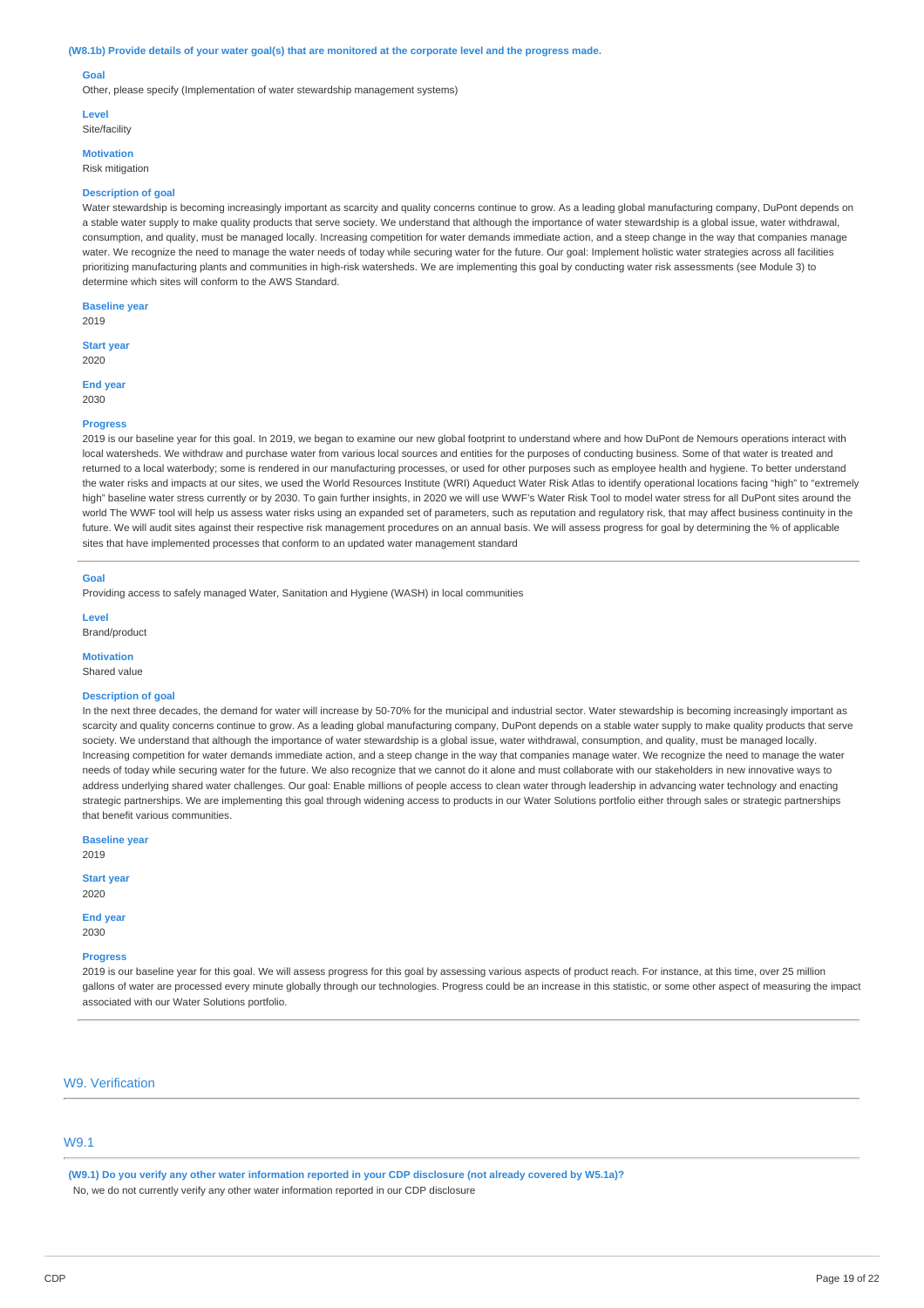#### (W8.1b) Provide details of your water goal(s) that are monitored at the corporate level and the progress made.

#### **Goal**

Other, please specify (Implementation of water stewardship management systems)

**Level**

Site/facility

**Motivation**

Risk mitigation

### **Description of goal**

Water stewardship is becoming increasingly important as scarcity and quality concerns continue to grow. As a leading global manufacturing company, DuPont depends on a stable water supply to make quality products that serve society. We understand that although the importance of water stewardship is a global issue, water withdrawal, consumption, and quality, must be managed locally. Increasing competition for water demands immediate action, and a steep change in the way that companies manage water. We recognize the need to manage the water needs of today while securing water for the future. Our goal: Implement holistic water strategies across all facilities prioritizing manufacturing plants and communities in high-risk watersheds. We are implementing this goal by conducting water risk assessments (see Module 3) to determine which sites will conform to the AWS Standard.

**Baseline year** 2019

### **Start year**

2020

**End year**

## 2030

### **Progress**

2019 is our baseline year for this goal. In 2019, we began to examine our new global footprint to understand where and how DuPont de Nemours operations interact with local watersheds. We withdraw and purchase water from various local sources and entities for the purposes of conducting business. Some of that water is treated and returned to a local waterbody; some is rendered in our manufacturing processes, or used for other purposes such as employee health and hygiene. To better understand the water risks and impacts at our sites, we used the World Resources Institute (WRI) Aqueduct Water Risk Atlas to identify operational locations facing "high" to "extremely high" baseline water stress currently or by 2030. To gain further insights, in 2020 we will use WWF's Water Risk Tool to model water stress for all DuPont sites around the world The WWF tool will help us assess water risks using an expanded set of parameters, such as reputation and regulatory risk, that may affect business continuity in the future. We will audit sites against their respective risk management procedures on an annual basis. We will assess progress for goal by determining the % of applicable sites that have implemented processes that conform to an updated water management standard

#### **Goal**

Providing access to safely managed Water, Sanitation and Hygiene (WASH) in local communities

**Level**

Brand/product

**Motivation**

Shared value

### **Description of goal**

In the next three decades, the demand for water will increase by 50-70% for the municipal and industrial sector. Water stewardship is becoming increasingly important as scarcity and quality concerns continue to grow. As a leading global manufacturing company, DuPont depends on a stable water supply to make quality products that serve society. We understand that although the importance of water stewardship is a global issue, water withdrawal, consumption, and quality, must be managed locally Increasing competition for water demands immediate action, and a steep change in the way that companies manage water. We recognize the need to manage the water needs of today while securing water for the future. We also recognize that we cannot do it alone and must collaborate with our stakeholders in new innovative ways to address underlying shared water challenges. Our goal: Enable millions of people access to clean water through leadership in advancing water technology and enacting strategic partnerships. We are implementing this goal through widening access to products in our Water Solutions portfolio either through sales or strategic partnerships that benefit various communities.

**Baseline year**

2019

**Start year** 2020

**End year**

2030

#### **Progress**

2019 is our baseline year for this goal. We will assess progress for this goal by assessing various aspects of product reach. For instance, at this time, over 25 million gallons of water are processed every minute globally through our technologies. Progress could be an increase in this statistic, or some other aspect of measuring the impact associated with our Water Solutions portfolio.

### W9. Verification

## W9.1

(W9.1) Do you verify any other water information reported in your CDP disclosure (not already covered by W5.1a)? No, we do not currently verify any other water information reported in our CDP disclosure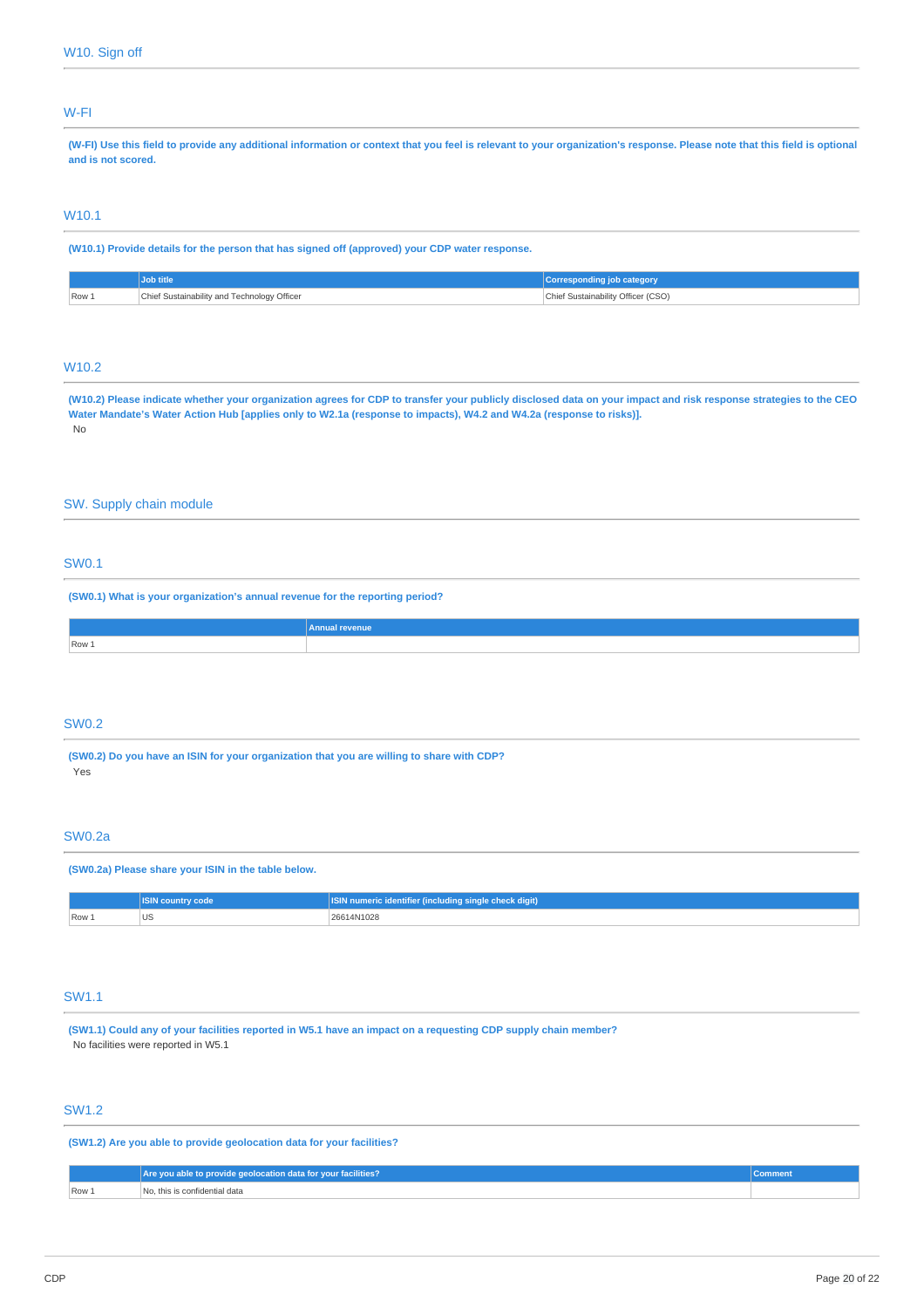## W-FI

(W-FI) Use this field to provide any additional information or context that you feel is relevant to your organization's response. Please note that this field is optional **and is not scored.**

# W10.1

**(W10.1) Provide details for the person that has signed off (approved) your CDP water response.**

|       | Job title                                   | <b>Corresponding job category</b>  |
|-------|---------------------------------------------|------------------------------------|
| Row 1 | Chief Sustainability and Technology Officer | Chief Sustainability Officer (CSO) |

## W10.2

(W10.2) Please indicate whether your organization agrees for CDP to transfer your publicly disclosed data on your impact and risk response strategies to the CEO Water Mandate's Water Action Hub [applies only to W2.1a (response to impacts), W4.2 and W4.2a (response to risks)]. No

## SW. Supply chain module

# SW0.1

**(SW0.1) What is your organization's annual revenue for the reporting period?**

|                | Annua<br><b>revenue</b> |
|----------------|-------------------------|
| $\sqrt{$ Row 1 |                         |
|                |                         |

## SW0.2

**(SW0.2) Do you have an ISIN for your organization that you are willing to share with CDP?** Yes

### SW0.2a

**(SW0.2a) Please share your ISIN in the table below.**

|       | code<br>ISIN countr | ' numeric identifier (including s<br><b>  single check digit)</b> |
|-------|---------------------|-------------------------------------------------------------------|
| Row 1 | $\sim$              | 26614N1028                                                        |

# SW1.1

(SW1.1) Could any of your facilities reported in W5.1 have an impact on a requesting CDP supply chain member? No facilities were reported in W5.1

# SW1.2

**(SW1.2) Are you able to provide geolocation data for your facilities?**

|       | Are you able to provide geolocation data for your facilities? | Comment |
|-------|---------------------------------------------------------------|---------|
| Row 1 | No. this is confidential data                                 |         |